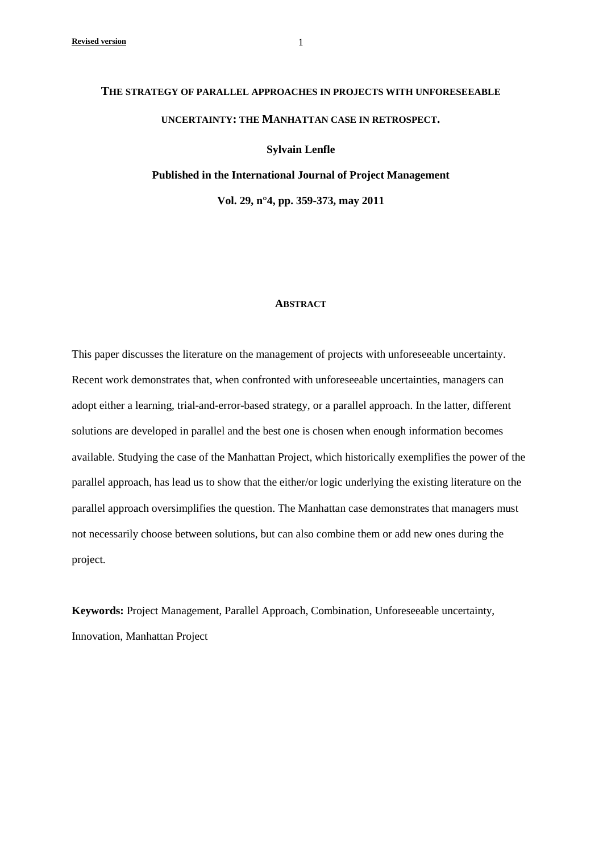# **THE STRATEGY OF PARALLEL APPROACHES IN PROJECTS WITH UNFORESEEABLE UNCERTAINTY: THE MANHATTAN CASE IN RETROSPECT.**

**Sylvain Lenfle**

**Published in the International Journal of Project Management Vol. 29, n°4, pp. 359-373, may 2011**

#### **ABSTRACT**

This paper discusses the literature on the management of projects with unforeseeable uncertainty. Recent work demonstrates that, when confronted with unforeseeable uncertainties, managers can adopt either a learning, trial-and-error-based strategy, or a parallel approach. In the latter, different solutions are developed in parallel and the best one is chosen when enough information becomes available. Studying the case of the Manhattan Project, which historically exemplifies the power of the parallel approach, has lead us to show that the either/or logic underlying the existing literature on the parallel approach oversimplifies the question. The Manhattan case demonstrates that managers must not necessarily choose between solutions, but can also combine them or add new ones during the project.

**Keywords:** Project Management, Parallel Approach, Combination, Unforeseeable uncertainty, Innovation, Manhattan Project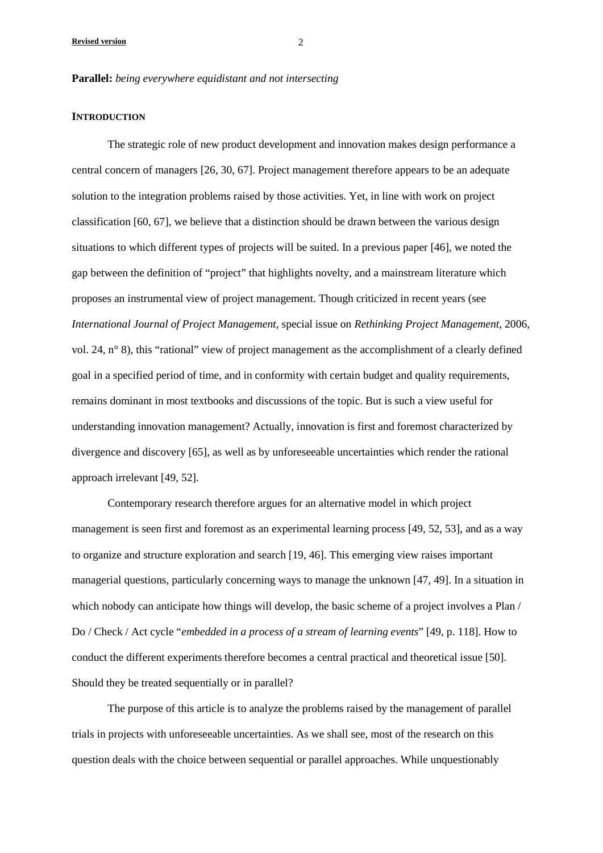**Parallel:** *being everywhere equidistant and not intersecting*

#### **INTRODUCTION**

The strategic role of new product development and innovation makes design performance a central concern of managers [26, 30, 67]. Project management therefore appears to be an adequate solution to the integration problems raised by those activities. Yet, in line with work on project classification [60, 67], we believe that a distinction should be drawn between the various design situations to which different types of projects will be suited. In a previous paper [46], we noted the gap between the definition of "project" that highlights novelty, and a mainstream literature which proposes an instrumental view of project management. Though criticized in recent years (see *International Journal of Project Management*, special issue on *Rethinking Project Management*, 2006, vol. 24, n° 8), this "rational" view of project management as the accomplishment of a clearly defined goal in a specified period of time, and in conformity with certain budget and quality requirements, remains dominant in most textbooks and discussions of the topic. But is such a view useful for understanding innovation management? Actually, innovation is first and foremost characterized by divergence and discovery [65], as well as by unforeseeable uncertainties which render the rational approach irrelevant [49, 52].

Contemporary research therefore argues for an alternative model in which project management is seen first and foremost as an experimental learning process [49, 52, 53], and as a way to organize and structure exploration and search [19, 46]. This emerging view raises important managerial questions, particularly concerning ways to manage the unknown [47, 49]. In a situation in which nobody can anticipate how things will develop, the basic scheme of a project involves a Plan / Do / Check / Act cycle "*embedded in a process of a stream of learning events*" [49, p. 118]. How to conduct the different experiments therefore becomes a central practical and theoretical issue [50]. Should they be treated sequentially or in parallel?

The purpose of this article is to analyze the problems raised by the management of parallel trials in projects with unforeseeable uncertainties. As we shall see, most of the research on this question deals with the choice between sequential or parallel approaches. While unquestionably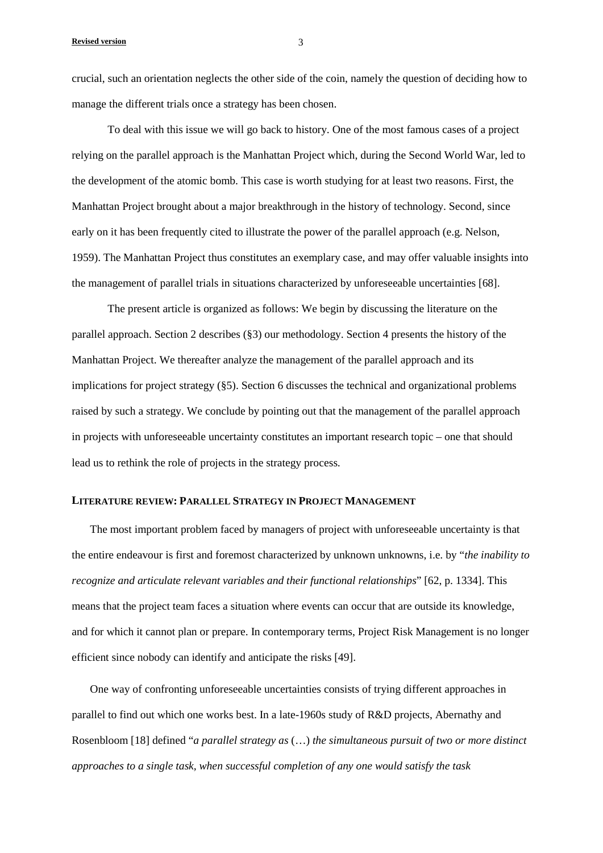crucial, such an orientation neglects the other side of the coin, namely the question of deciding how to manage the different trials once a strategy has been chosen.

To deal with this issue we will go back to history. One of the most famous cases of a project relying on the parallel approach is the Manhattan Project which, during the Second World War, led to the development of the atomic bomb. This case is worth studying for at least two reasons. First, the Manhattan Project brought about a major breakthrough in the history of technology. Second, since early on it has been frequently cited to illustrate the power of the parallel approach (e.g. Nelson, 1959). The Manhattan Project thus constitutes an exemplary case, and may offer valuable insights into the management of parallel trials in situations characterized by unforeseeable uncertainties [68].

The present article is organized as follows: We begin by discussing the literature on the parallel approach. Section 2 describes (§3) our methodology. Section 4 presents the history of the Manhattan Project. We thereafter analyze the management of the parallel approach and its implications for project strategy (§5). Section 6 discusses the technical and organizational problems raised by such a strategy. We conclude by pointing out that the management of the parallel approach in projects with unforeseeable uncertainty constitutes an important research topic – one that should lead us to rethink the role of projects in the strategy process.

#### **LITERATURE REVIEW: PARALLEL STRATEGY IN PROJECT MANAGEMENT**

The most important problem faced by managers of project with unforeseeable uncertainty is that the entire endeavour is first and foremost characterized by unknown unknowns, i.e. by "*the inability to recognize and articulate relevant variables and their functional relationships*" [62, p. 1334]. This means that the project team faces a situation where events can occur that are outside its knowledge, and for which it cannot plan or prepare. In contemporary terms, Project Risk Management is no longer efficient since nobody can identify and anticipate the risks [49].

One way of confronting unforeseeable uncertainties consists of trying different approaches in parallel to find out which one works best. In a late-1960s study of R&D projects, Abernathy and Rosenbloom [18] defined "*a parallel strategy as* (…) *the simultaneous pursuit of two or more distinct approaches to a single task, when successful completion of any one would satisfy the task*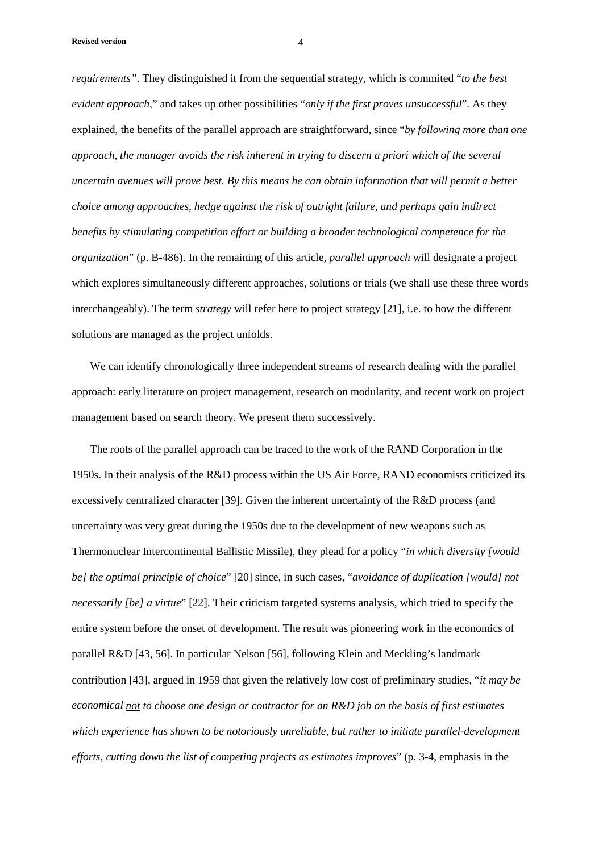*requirements"*. They distinguished it from the sequential strategy, which is commited "*to the best evident approach*," and takes up other possibilities "*only if the first proves unsuccessful*". As they explained, the benefits of the parallel approach are straightforward, since "*by following more than one approach, the manager avoids the risk inherent in trying to discern a priori which of the several uncertain avenues will prove best. By this means he can obtain information that will permit a better choice among approaches, hedge against the risk of outright failure, and perhaps gain indirect benefits by stimulating competition effort or building a broader technological competence for the organization*" (p. B-486). In the remaining of this article, *parallel approach* will designate a project which explores simultaneously different approaches, solutions or trials (we shall use these three words interchangeably). The term *strategy* will refer here to project strategy [21], i.e. to how the different solutions are managed as the project unfolds.

We can identify chronologically three independent streams of research dealing with the parallel approach: early literature on project management, research on modularity, and recent work on project management based on search theory. We present them successively.

The roots of the parallel approach can be traced to the work of the RAND Corporation in the 1950s. In their analysis of the R&D process within the US Air Force, RAND economists criticized its excessively centralized character [39]. Given the inherent uncertainty of the R&D process (and uncertainty was very great during the 1950s due to the development of new weapons such as Thermonuclear Intercontinental Ballistic Missile), they plead for a policy "*in which diversity [would be] the optimal principle of choice*" [20] since, in such cases, "*avoidance of duplication [would] not necessarily [be] a virtue*" [22]. Their criticism targeted systems analysis, which tried to specify the entire system before the onset of development. The result was pioneering work in the economics of parallel R&D [43, 56]. In particular Nelson [56], following Klein and Meckling's landmark contribution [43], argued in 1959 that given the relatively low cost of preliminary studies, "*it may be economical not to choose one design or contractor for an R&D job on the basis of first estimates which experience has shown to be notoriously unreliable, but rather to initiate parallel-development efforts, cutting down the list of competing projects as estimates improves*" (p. 3-4, emphasis in the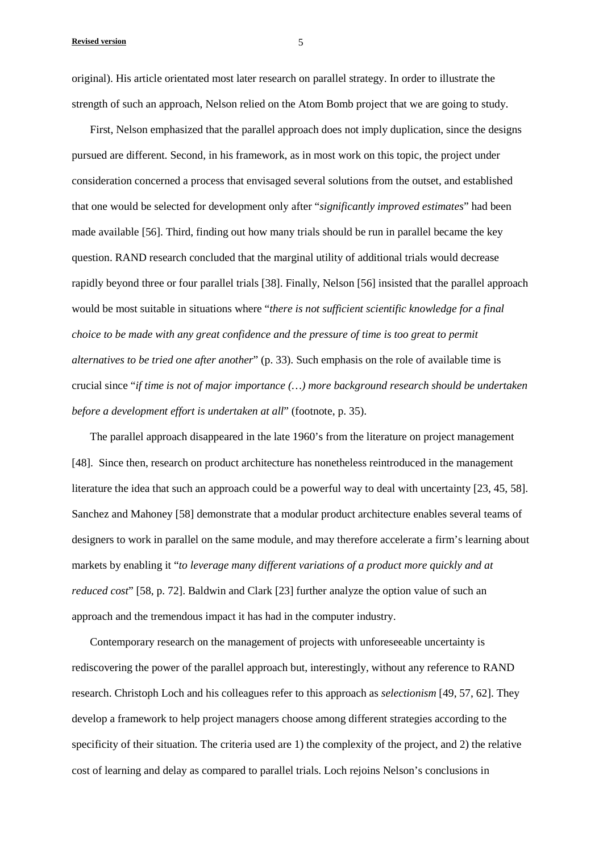original). His article orientated most later research on parallel strategy. In order to illustrate the strength of such an approach, Nelson relied on the Atom Bomb project that we are going to study.

First, Nelson emphasized that the parallel approach does not imply duplication, since the designs pursued are different. Second, in his framework, as in most work on this topic, the project under consideration concerned a process that envisaged several solutions from the outset, and established that one would be selected for development only after "*significantly improved estimates*" had been made available [56]. Third, finding out how many trials should be run in parallel became the key question. RAND research concluded that the marginal utility of additional trials would decrease rapidly beyond three or four parallel trials [38]. Finally, Nelson [56] insisted that the parallel approach would be most suitable in situations where "*there is not sufficient scientific knowledge for a final choice to be made with any great confidence and the pressure of time is too great to permit alternatives to be tried one after another*" (p. 33). Such emphasis on the role of available time is crucial since "*if time is not of major importance (…) more background research should be undertaken before a development effort is undertaken at all*" (footnote, p. 35).

The parallel approach disappeared in the late 1960's from the literature on project management [48]. Since then, research on product architecture has nonetheless reintroduced in the management literature the idea that such an approach could be a powerful way to deal with uncertainty [23, 45, 58]. Sanchez and Mahoney [58] demonstrate that a modular product architecture enables several teams of designers to work in parallel on the same module, and may therefore accelerate a firm's learning about markets by enabling it "*to leverage many different variations of a product more quickly and at reduced cost*" [58, p. 72]. Baldwin and Clark [23] further analyze the option value of such an approach and the tremendous impact it has had in the computer industry.

Contemporary research on the management of projects with unforeseeable uncertainty is rediscovering the power of the parallel approach but, interestingly, without any reference to RAND research. Christoph Loch and his colleagues refer to this approach as *selectionism* [49, 57, 62]. They develop a framework to help project managers choose among different strategies according to the specificity of their situation. The criteria used are 1) the complexity of the project, and 2) the relative cost of learning and delay as compared to parallel trials. Loch rejoins Nelson's conclusions in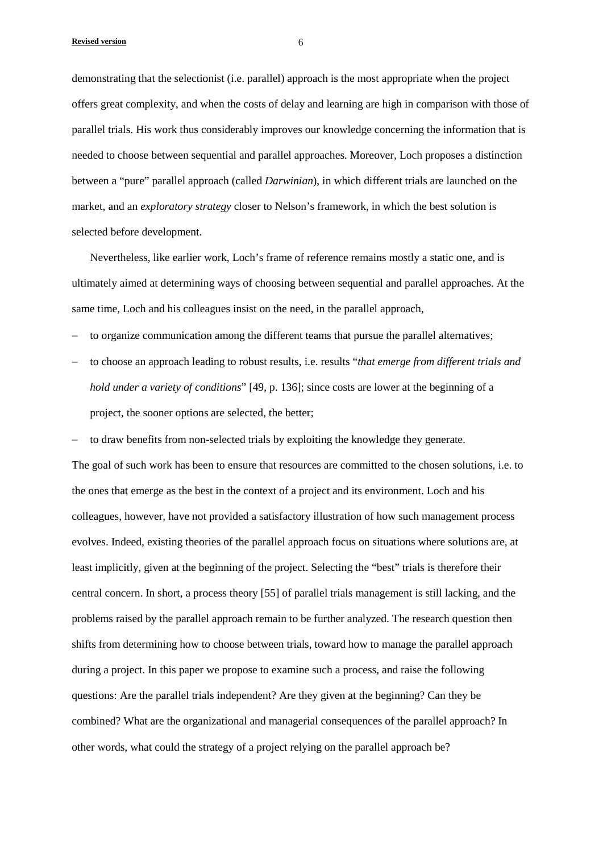demonstrating that the selectionist (i.e. parallel) approach is the most appropriate when the project offers great complexity, and when the costs of delay and learning are high in comparison with those of parallel trials. His work thus considerably improves our knowledge concerning the information that is needed to choose between sequential and parallel approaches. Moreover, Loch proposes a distinction between a "pure" parallel approach (called *Darwinian*), in which different trials are launched on the market, and an *exploratory strategy* closer to Nelson's framework, in which the best solution is selected before development.

Nevertheless, like earlier work, Loch's frame of reference remains mostly a static one, and is ultimately aimed at determining ways of choosing between sequential and parallel approaches. At the same time, Loch and his colleagues insist on the need, in the parallel approach,

- to organize communication among the different teams that pursue the parallel alternatives;
- − to choose an approach leading to robust results, i.e. results "*that emerge from different trials and hold under a variety of conditions*" [49, p. 136]; since costs are lower at the beginning of a project, the sooner options are selected, the better;
- to draw benefits from non-selected trials by exploiting the knowledge they generate.

The goal of such work has been to ensure that resources are committed to the chosen solutions, i.e. to the ones that emerge as the best in the context of a project and its environment. Loch and his colleagues, however, have not provided a satisfactory illustration of how such management process evolves. Indeed, existing theories of the parallel approach focus on situations where solutions are, at least implicitly, given at the beginning of the project. Selecting the "best" trials is therefore their central concern. In short, a process theory [55] of parallel trials management is still lacking, and the problems raised by the parallel approach remain to be further analyzed. The research question then shifts from determining how to choose between trials, toward how to manage the parallel approach during a project. In this paper we propose to examine such a process, and raise the following questions: Are the parallel trials independent? Are they given at the beginning? Can they be combined? What are the organizational and managerial consequences of the parallel approach? In other words, what could the strategy of a project relying on the parallel approach be?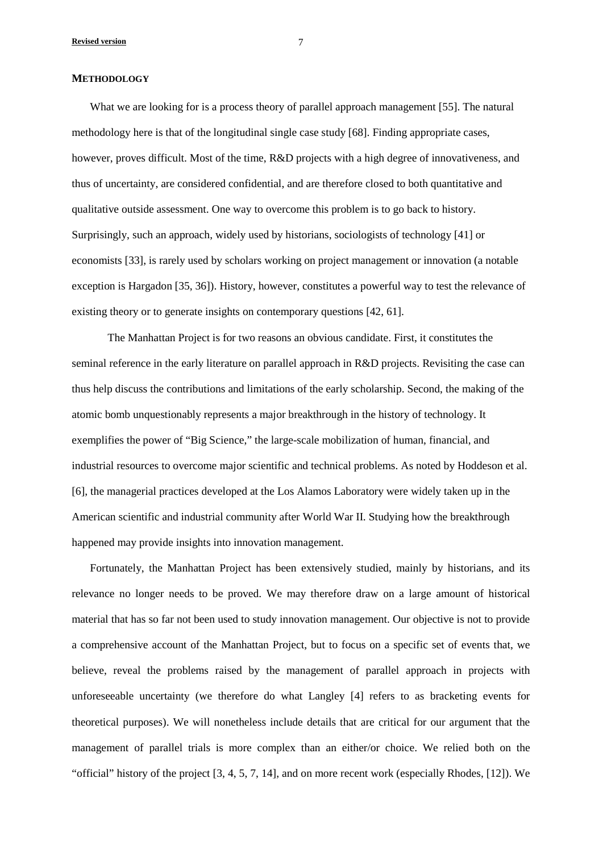#### **METHODOLOGY**

What we are looking for is a process theory of parallel approach management [55]. The natural methodology here is that of the longitudinal single case study [68]. Finding appropriate cases, however, proves difficult. Most of the time, R&D projects with a high degree of innovativeness, and thus of uncertainty, are considered confidential, and are therefore closed to both quantitative and qualitative outside assessment. One way to overcome this problem is to go back to history. Surprisingly, such an approach, widely used by historians, sociologists of technology [41] or economists [33], is rarely used by scholars working on project management or innovation (a notable exception is Hargadon [35, 36]). History, however, constitutes a powerful way to test the relevance of existing theory or to generate insights on contemporary questions [42, 61].

The Manhattan Project is for two reasons an obvious candidate. First, it constitutes the seminal reference in the early literature on parallel approach in R&D projects. Revisiting the case can thus help discuss the contributions and limitations of the early scholarship. Second, the making of the atomic bomb unquestionably represents a major breakthrough in the history of technology. It exemplifies the power of "Big Science," the large-scale mobilization of human, financial, and industrial resources to overcome major scientific and technical problems. As noted by Hoddeson et al. [6], the managerial practices developed at the Los Alamos Laboratory were widely taken up in the American scientific and industrial community after World War II. Studying how the breakthrough happened may provide insights into innovation management.

Fortunately, the Manhattan Project has been extensively studied, mainly by historians, and its relevance no longer needs to be proved. We may therefore draw on a large amount of historical material that has so far not been used to study innovation management. Our objective is not to provide a comprehensive account of the Manhattan Project, but to focus on a specific set of events that, we believe, reveal the problems raised by the management of parallel approach in projects with unforeseeable uncertainty (we therefore do what Langley [4] refers to as bracketing events for theoretical purposes). We will nonetheless include details that are critical for our argument that the management of parallel trials is more complex than an either/or choice. We relied both on the "official" history of the project [3, 4, 5, 7, 14], and on more recent work (especially Rhodes, [12]). We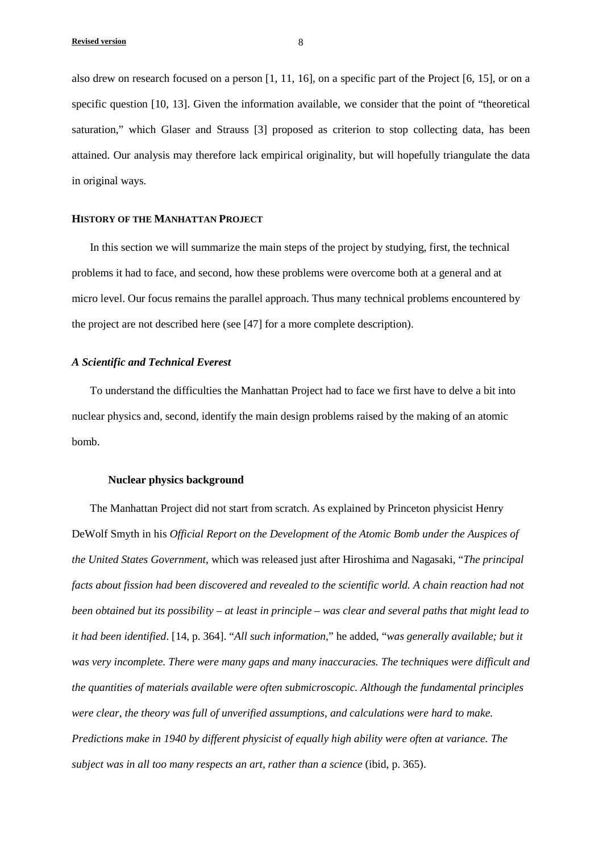also drew on research focused on a person [1, 11, 16], on a specific part of the Project [6, 15], or on a specific question [10, 13]. Given the information available, we consider that the point of "theoretical saturation," which Glaser and Strauss [3] proposed as criterion to stop collecting data, has been attained. Our analysis may therefore lack empirical originality, but will hopefully triangulate the data in original ways.

#### **HISTORY OF THE MANHATTAN PROJECT**

In this section we will summarize the main steps of the project by studying, first, the technical problems it had to face, and second, how these problems were overcome both at a general and at micro level. Our focus remains the parallel approach. Thus many technical problems encountered by the project are not described here (see [47] for a more complete description).

#### *A Scientific and Technical Everest*

To understand the difficulties the Manhattan Project had to face we first have to delve a bit into nuclear physics and, second, identify the main design problems raised by the making of an atomic bomb.

#### **Nuclear physics background**

The Manhattan Project did not start from scratch. As explained by Princeton physicist Henry DeWolf Smyth in his *Official Report on the Development of the Atomic Bomb under the Auspices of the United States Government*, which was released just after Hiroshima and Nagasaki, "*The principal facts about fission had been discovered and revealed to the scientific world. A chain reaction had not been obtained but its possibility – at least in principle – was clear and several paths that might lead to it had been identified*. [14, p. 364]. "*All such information*," he added, "*was generally available; but it was very incomplete. There were many gaps and many inaccuracies. The techniques were difficult and the quantities of materials available were often submicroscopic. Although the fundamental principles were clear, the theory was full of unverified assumptions, and calculations were hard to make. Predictions make in 1940 by different physicist of equally high ability were often at variance. The subject was in all too many respects an art, rather than a science* (ibid, p. 365).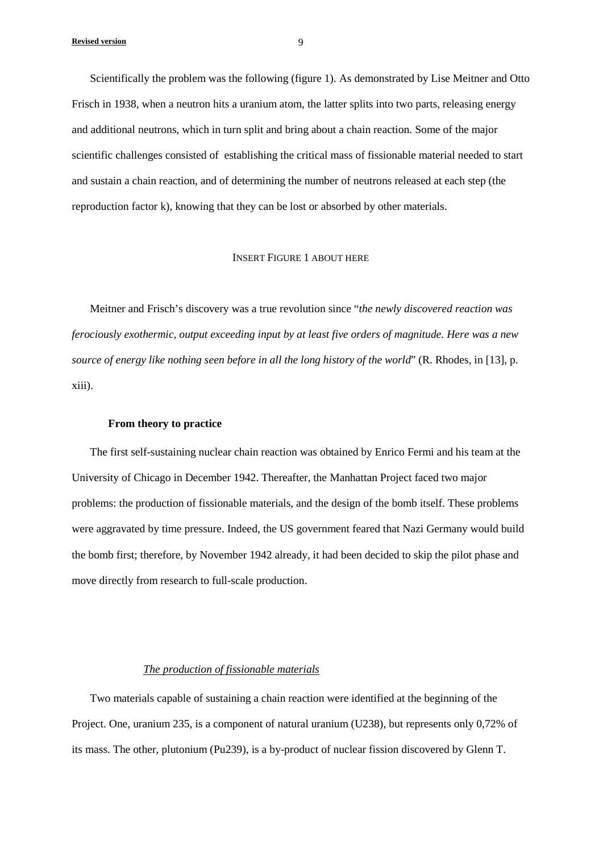Scientifically the problem was the following (figure 1). As demonstrated by Lise Meitner and Otto Frisch in 1938, when a neutron hits a uranium atom, the latter splits into two parts, releasing energy and additional neutrons, which in turn split and bring about a chain reaction. Some of the major scientific challenges consisted of establishing the critical mass of fissionable material needed to start and sustain a chain reaction, and of determining the number of neutrons released at each step (the reproduction factor k), knowing that they can be lost or absorbed by other materials.

#### INSERT FIGURE 1 ABOUT HERE

Meitner and Frisch's discovery was a true revolution since "*the newly discovered reaction was ferociously exothermic, output exceeding input by at least five orders of magnitude. Here was a new source of energy like nothing seen before in all the long history of the world*" (R. Rhodes, in [13], p. xiii).

#### **From theory to practice**

The first self-sustaining nuclear chain reaction was obtained by Enrico Fermi and his team at the University of Chicago in December 1942. Thereafter, the Manhattan Project faced two major problems: the production of fissionable materials, and the design of the bomb itself. These problems were aggravated by time pressure. Indeed, the US government feared that Nazi Germany would build the bomb first; therefore, by November 1942 already, it had been decided to skip the pilot phase and move directly from research to full-scale production.

#### *The production of fissionable materials*

Two materials capable of sustaining a chain reaction were identified at the beginning of the Project. One, uranium 235, is a component of natural uranium (U238), but represents only 0,72% of its mass. The other, plutonium (Pu239), is a by-product of nuclear fission discovered by Glenn T.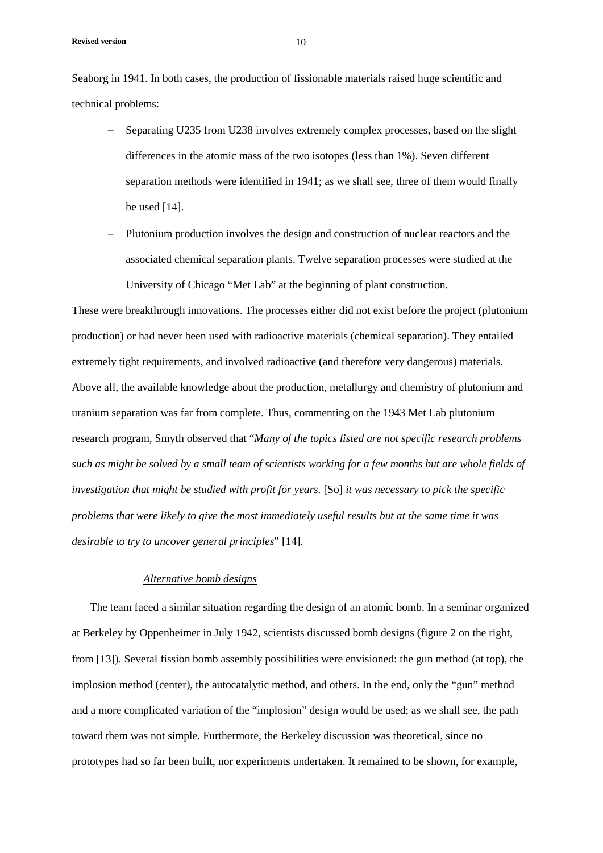Seaborg in 1941. In both cases, the production of fissionable materials raised huge scientific and technical problems:

- Separating U235 from U238 involves extremely complex processes, based on the slight differences in the atomic mass of the two isotopes (less than 1%). Seven different separation methods were identified in 1941; as we shall see, three of them would finally be used [14].
- Plutonium production involves the design and construction of nuclear reactors and the associated chemical separation plants. Twelve separation processes were studied at the University of Chicago "Met Lab" at the beginning of plant construction.

These were breakthrough innovations. The processes either did not exist before the project (plutonium production) or had never been used with radioactive materials (chemical separation). They entailed extremely tight requirements, and involved radioactive (and therefore very dangerous) materials. Above all, the available knowledge about the production, metallurgy and chemistry of plutonium and uranium separation was far from complete. Thus, commenting on the 1943 Met Lab plutonium research program, Smyth observed that "*Many of the topics listed are not specific research problems such as might be solved by a small team of scientists working for a few months but are whole fields of investigation that might be studied with profit for years.* [So] *it was necessary to pick the specific problems that were likely to give the most immediately useful results but at the same time it was desirable to try to uncover general principles*" [14].

#### *Alternative bomb designs*

The team faced a similar situation regarding the design of an atomic bomb. In a seminar organized at Berkeley by Oppenheimer in July 1942, scientists discussed bomb designs (figure 2 on the right, from [13]). Several fission bomb assembly possibilities were envisioned: the gun method (at top), the implosion method (center), the autocatalytic method, and others. In the end, only the "gun" method and a more complicated variation of the "implosion" design would be used; as we shall see, the path toward them was not simple. Furthermore, the Berkeley discussion was theoretical, since no prototypes had so far been built, nor experiments undertaken. It remained to be shown, for example,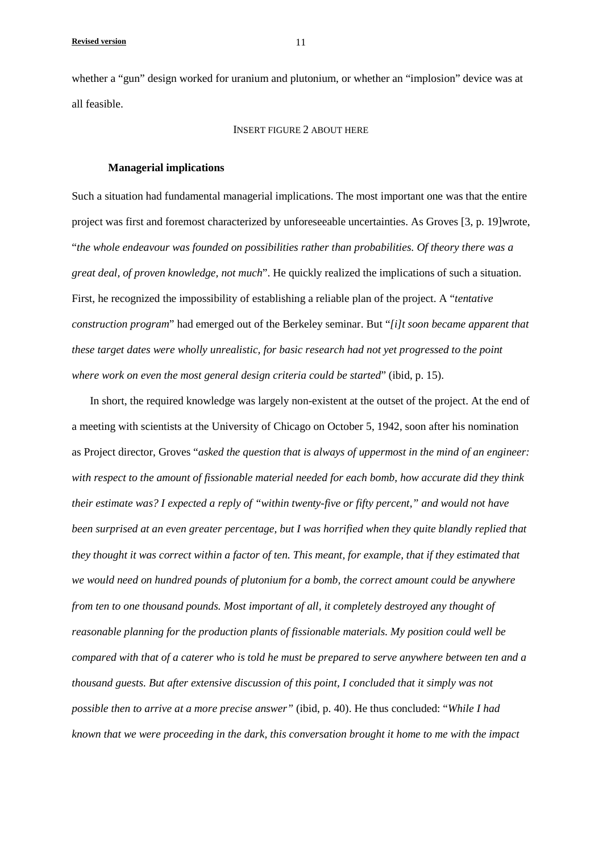whether a "gun" design worked for uranium and plutonium, or whether an "implosion" device was at all feasible.

INSERT FIGURE 2 ABOUT HERE

#### **Managerial implications**

Such a situation had fundamental managerial implications. The most important one was that the entire project was first and foremost characterized by unforeseeable uncertainties. As Groves [3, p. 19]wrote, "*the whole endeavour was founded on possibilities rather than probabilities. Of theory there was a great deal, of proven knowledge, not much*". He quickly realized the implications of such a situation. First, he recognized the impossibility of establishing a reliable plan of the project. A "*tentative construction program*" had emerged out of the Berkeley seminar. But "*[i]t soon became apparent that these target dates were wholly unrealistic, for basic research had not yet progressed to the point where work on even the most general design criteria could be started*" (ibid, p. 15).

In short, the required knowledge was largely non-existent at the outset of the project. At the end of a meeting with scientists at the University of Chicago on October 5, 1942, soon after his nomination as Project director, Groves "*asked the question that is always of uppermost in the mind of an engineer: with respect to the amount of fissionable material needed for each bomb, how accurate did they think their estimate was? I expected a reply of "within twenty-five or fifty percent," and would not have been surprised at an even greater percentage, but I was horrified when they quite blandly replied that they thought it was correct within a factor of ten. This meant, for example, that if they estimated that we would need on hundred pounds of plutonium for a bomb, the correct amount could be anywhere from ten to one thousand pounds. Most important of all, it completely destroyed any thought of reasonable planning for the production plants of fissionable materials. My position could well be compared with that of a caterer who is told he must be prepared to serve anywhere between ten and a thousand guests. But after extensive discussion of this point, I concluded that it simply was not possible then to arrive at a more precise answer"* (ibid, p. 40). He thus concluded: "*While I had known that we were proceeding in the dark, this conversation brought it home to me with the impact*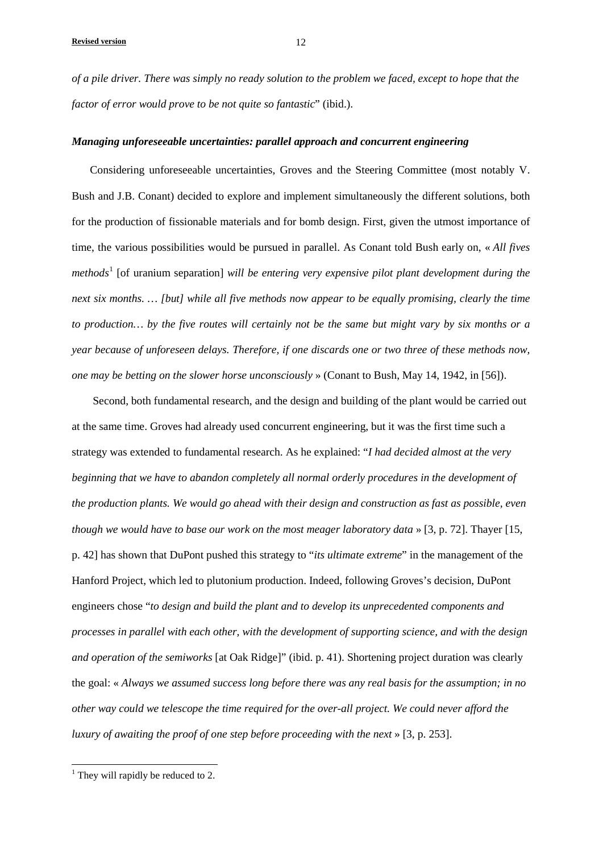*of a pile driver. There was simply no ready solution to the problem we faced, except to hope that the factor of error would prove to be not quite so fantastic*" (ibid.).

#### *Managing unforeseeable uncertainties: parallel approach and concurrent engineering*

Considering unforeseeable uncertainties, Groves and the Steering Committee (most notably V. Bush and J.B. Conant) decided to explore and implement simultaneously the different solutions, both for the production of fissionable materials and for bomb design. First, given the utmost importance of time, the various possibilities would be pursued in parallel. As Conant told Bush early on, « *All fives methods*[1](#page-11-0) [of uranium separation] *will be entering very expensive pilot plant development during the next six months. … [but] while all five methods now appear to be equally promising, clearly the time to production… by the five routes will certainly not be the same but might vary by six months or a year because of unforeseen delays. Therefore, if one discards one or two three of these methods now, one may be betting on the slower horse unconsciously* » (Conant to Bush, May 14, 1942, in [56]).

Second, both fundamental research, and the design and building of the plant would be carried out at the same time. Groves had already used concurrent engineering, but it was the first time such a strategy was extended to fundamental research. As he explained: "*I had decided almost at the very beginning that we have to abandon completely all normal orderly procedures in the development of the production plants. We would go ahead with their design and construction as fast as possible, even though we would have to base our work on the most meager laboratory data* » [3, p. 72]. Thayer [15, p. 42] has shown that DuPont pushed this strategy to "*its ultimate extreme*" in the management of the Hanford Project, which led to plutonium production. Indeed, following Groves's decision, DuPont engineers chose "*to design and build the plant and to develop its unprecedented components and processes in parallel with each other, with the development of supporting science, and with the design and operation of the semiworks* [at Oak Ridge]" (ibid. p. 41). Shortening project duration was clearly the goal: « *Always we assumed success long before there was any real basis for the assumption; in no other way could we telescope the time required for the over-all project. We could never afford the luxury of awaiting the proof of one step before proceeding with the next* » [3, p. 253].

<span id="page-11-0"></span> $<sup>1</sup>$  They will rapidly be reduced to 2.</sup>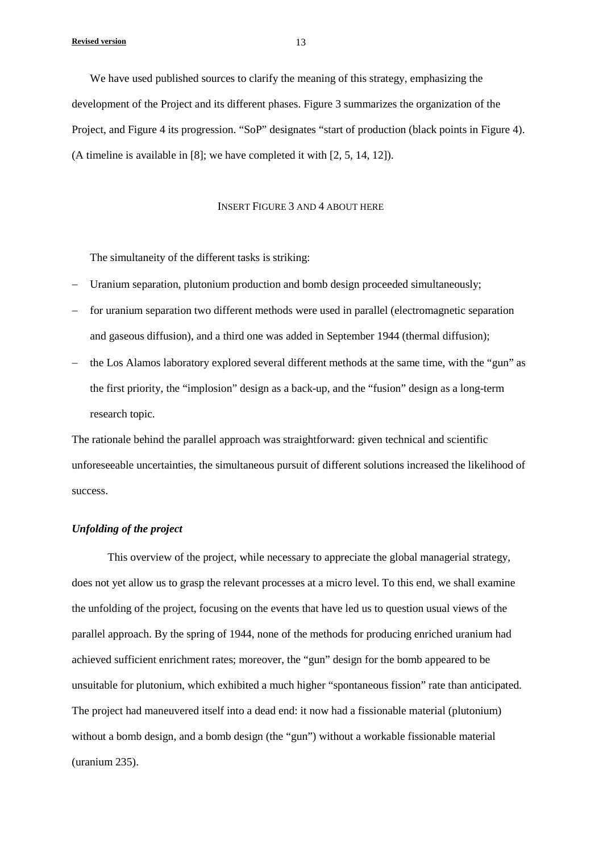We have used published sources to clarify the meaning of this strategy, emphasizing the development of the Project and its different phases. Figure 3 summarizes the organization of the Project, and Figure 4 its progression. "SoP" designates "start of production (black points in Figure 4). (A timeline is available in [8]; we have completed it with [2, 5, 14, 12]).

#### INSERT FIGURE 3 AND 4 ABOUT HERE

The simultaneity of the different tasks is striking:

- Uranium separation, plutonium production and bomb design proceeded simultaneously;
- for uranium separation two different methods were used in parallel (electromagnetic separation and gaseous diffusion), and a third one was added in September 1944 (thermal diffusion);
- the Los Alamos laboratory explored several different methods at the same time, with the "gun" as the first priority, the "implosion" design as a back-up, and the "fusion" design as a long-term research topic.

The rationale behind the parallel approach was straightforward: given technical and scientific unforeseeable uncertainties, the simultaneous pursuit of different solutions increased the likelihood of success.

## *Unfolding of the project*

This overview of the project, while necessary to appreciate the global managerial strategy, does not yet allow us to grasp the relevant processes at a micro level. To this end, we shall examine the unfolding of the project, focusing on the events that have led us to question usual views of the parallel approach. By the spring of 1944, none of the methods for producing enriched uranium had achieved sufficient enrichment rates; moreover, the "gun" design for the bomb appeared to be unsuitable for plutonium, which exhibited a much higher "spontaneous fission" rate than anticipated. The project had maneuvered itself into a dead end: it now had a fissionable material (plutonium) without a bomb design, and a bomb design (the "gun") without a workable fissionable material (uranium 235).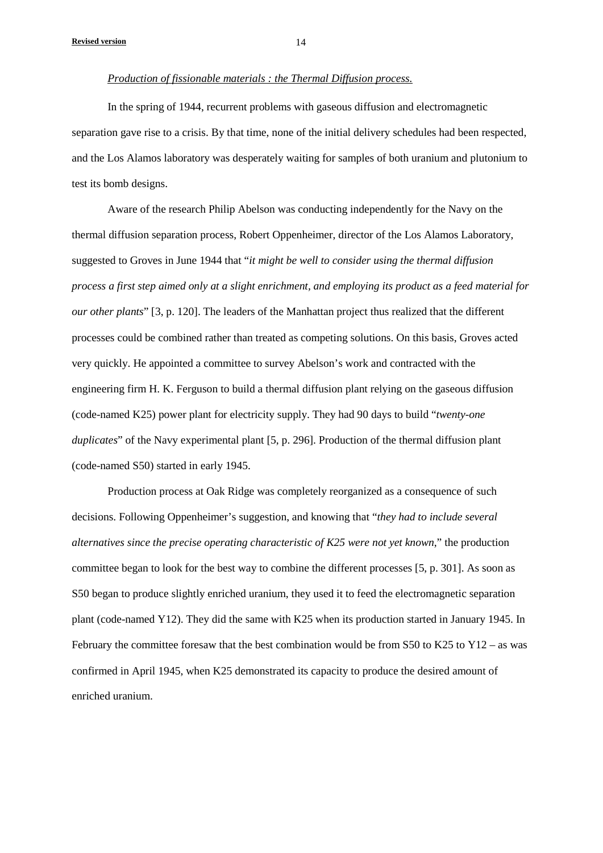## *Production of fissionable materials : the Thermal Diffusion process.*

In the spring of 1944, recurrent problems with gaseous diffusion and electromagnetic separation gave rise to a crisis. By that time, none of the initial delivery schedules had been respected, and the Los Alamos laboratory was desperately waiting for samples of both uranium and plutonium to test its bomb designs.

Aware of the research Philip Abelson was conducting independently for the Navy on the thermal diffusion separation process, Robert Oppenheimer, director of the Los Alamos Laboratory, suggested to Groves in June 1944 that "*it might be well to consider using the thermal diffusion process a first step aimed only at a slight enrichment, and employing its product as a feed material for our other plants*" [3, p. 120]. The leaders of the Manhattan project thus realized that the different processes could be combined rather than treated as competing solutions. On this basis, Groves acted very quickly. He appointed a committee to survey Abelson's work and contracted with the engineering firm H. K. Ferguson to build a thermal diffusion plant relying on the gaseous diffusion (code-named K25) power plant for electricity supply. They had 90 days to build "*twenty-one duplicates*" of the Navy experimental plant [5, p. 296]. Production of the thermal diffusion plant (code-named S50) started in early 1945.

Production process at Oak Ridge was completely reorganized as a consequence of such decisions. Following Oppenheimer's suggestion, and knowing that "*they had to include several alternatives since the precise operating characteristic of K25 were not yet known*," the production committee began to look for the best way to combine the different processes [5, p. 301]. As soon as S50 began to produce slightly enriched uranium, they used it to feed the electromagnetic separation plant (code-named Y12). They did the same with K25 when its production started in January 1945. In February the committee foresaw that the best combination would be from S50 to K25 to Y12 – as was confirmed in April 1945, when K25 demonstrated its capacity to produce the desired amount of enriched uranium.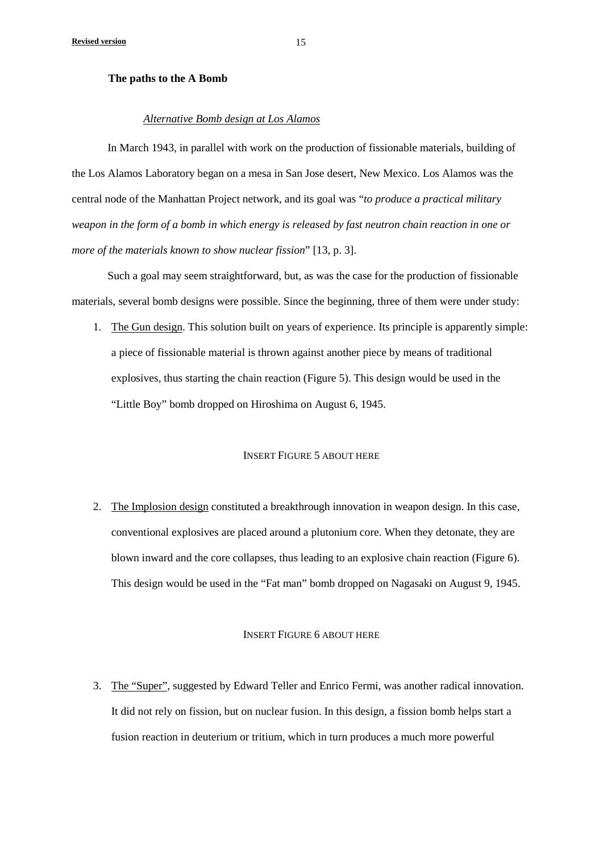#### **The paths to the A Bomb**

#### *Alternative Bomb design at Los Alamos*

In March 1943, in parallel with work on the production of fissionable materials, building of the Los Alamos Laboratory began on a mesa in San Jose desert, New Mexico. Los Alamos was the central node of the Manhattan Project network, and its goal was "*to produce a practical military weapon in the form of a bomb in which energy is released by fast neutron chain reaction in one or more of the materials known to show nuclear fission*" [13, p. 3].

Such a goal may seem straightforward, but, as was the case for the production of fissionable materials, several bomb designs were possible. Since the beginning, three of them were under study:

1. The Gun design. This solution built on years of experience. Its principle is apparently simple: a piece of fissionable material is thrown against another piece by means of traditional explosives, thus starting the chain reaction (Figure 5). This design would be used in the "Little Boy" bomb dropped on Hiroshima on August 6, 1945.

#### INSERT FIGURE 5 ABOUT HERE

2. The Implosion design constituted a breakthrough innovation in weapon design. In this case, conventional explosives are placed around a plutonium core. When they detonate, they are blown inward and the core collapses, thus leading to an explosive chain reaction (Figure 6). This design would be used in the "Fat man" bomb dropped on Nagasaki on August 9, 1945.

#### INSERT FIGURE 6 ABOUT HERE

3. The "Super", suggested by Edward Teller and Enrico Fermi, was another radical innovation. It did not rely on fission, but on nuclear fusion. In this design, a fission bomb helps start a fusion reaction in deuterium or tritium, which in turn produces a much more powerful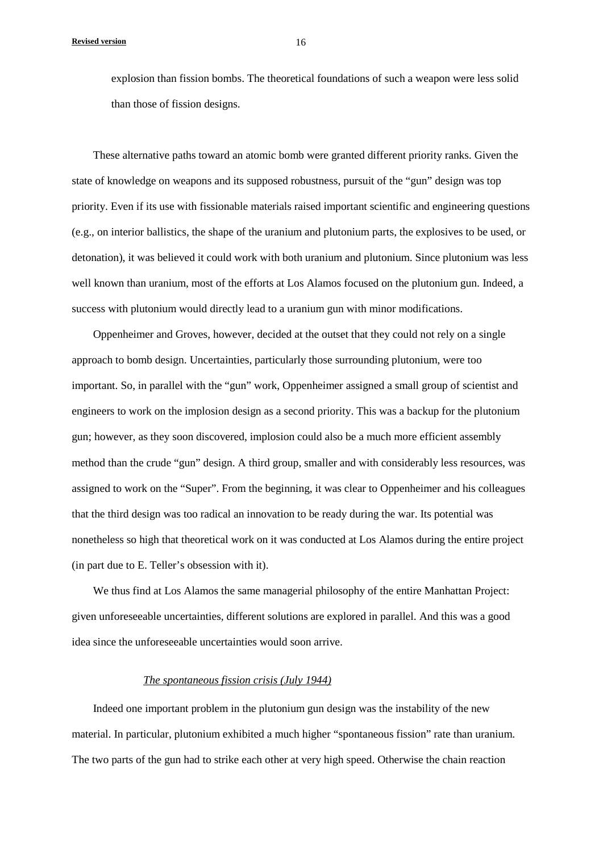explosion than fission bombs. The theoretical foundations of such a weapon were less solid than those of fission designs.

These alternative paths toward an atomic bomb were granted different priority ranks. Given the state of knowledge on weapons and its supposed robustness, pursuit of the "gun" design was top priority. Even if its use with fissionable materials raised important scientific and engineering questions (e.g., on interior ballistics, the shape of the uranium and plutonium parts, the explosives to be used, or detonation), it was believed it could work with both uranium and plutonium. Since plutonium was less well known than uranium, most of the efforts at Los Alamos focused on the plutonium gun. Indeed, a success with plutonium would directly lead to a uranium gun with minor modifications.

Oppenheimer and Groves, however, decided at the outset that they could not rely on a single approach to bomb design. Uncertainties, particularly those surrounding plutonium, were too important. So, in parallel with the "gun" work, Oppenheimer assigned a small group of scientist and engineers to work on the implosion design as a second priority. This was a backup for the plutonium gun; however, as they soon discovered, implosion could also be a much more efficient assembly method than the crude "gun" design. A third group, smaller and with considerably less resources, was assigned to work on the "Super". From the beginning, it was clear to Oppenheimer and his colleagues that the third design was too radical an innovation to be ready during the war. Its potential was nonetheless so high that theoretical work on it was conducted at Los Alamos during the entire project (in part due to E. Teller's obsession with it).

We thus find at Los Alamos the same managerial philosophy of the entire Manhattan Project: given unforeseeable uncertainties, different solutions are explored in parallel. And this was a good idea since the unforeseeable uncertainties would soon arrive.

#### *The spontaneous fission crisis (July 1944)*

Indeed one important problem in the plutonium gun design was the instability of the new material. In particular, plutonium exhibited a much higher "spontaneous fission" rate than uranium. The two parts of the gun had to strike each other at very high speed. Otherwise the chain reaction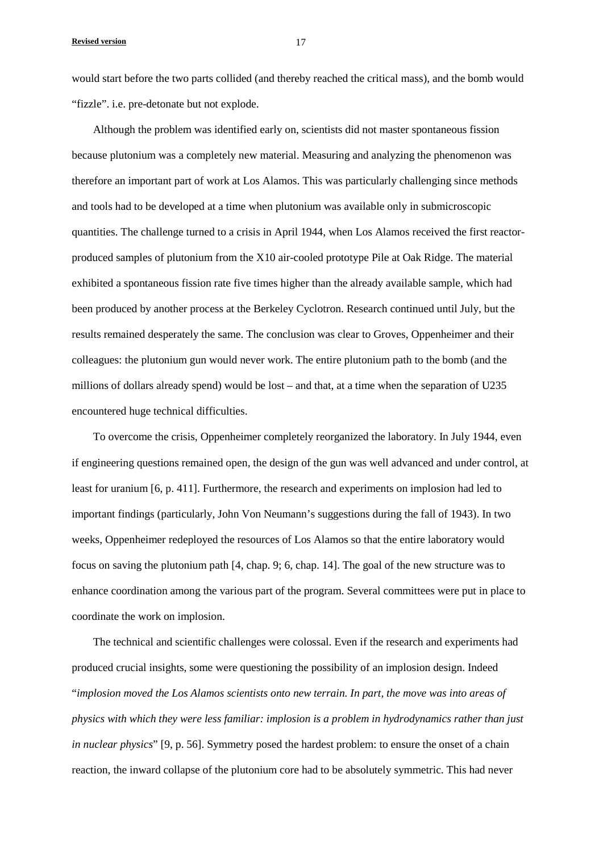would start before the two parts collided (and thereby reached the critical mass), and the bomb would "fizzle". i.e. pre-detonate but not explode.

Although the problem was identified early on, scientists did not master spontaneous fission because plutonium was a completely new material. Measuring and analyzing the phenomenon was therefore an important part of work at Los Alamos. This was particularly challenging since methods and tools had to be developed at a time when plutonium was available only in submicroscopic quantities. The challenge turned to a crisis in April 1944, when Los Alamos received the first reactorproduced samples of plutonium from the X10 air-cooled prototype Pile at Oak Ridge. The material exhibited a spontaneous fission rate five times higher than the already available sample, which had been produced by another process at the Berkeley Cyclotron. Research continued until July, but the results remained desperately the same. The conclusion was clear to Groves, Oppenheimer and their colleagues: the plutonium gun would never work. The entire plutonium path to the bomb (and the millions of dollars already spend) would be lost – and that, at a time when the separation of U235 encountered huge technical difficulties.

To overcome the crisis, Oppenheimer completely reorganized the laboratory. In July 1944, even if engineering questions remained open, the design of the gun was well advanced and under control, at least for uranium [6, p. 411]. Furthermore, the research and experiments on implosion had led to important findings (particularly, John Von Neumann's suggestions during the fall of 1943). In two weeks, Oppenheimer redeployed the resources of Los Alamos so that the entire laboratory would focus on saving the plutonium path [4, chap. 9; 6, chap. 14]. The goal of the new structure was to enhance coordination among the various part of the program. Several committees were put in place to coordinate the work on implosion.

The technical and scientific challenges were colossal. Even if the research and experiments had produced crucial insights, some were questioning the possibility of an implosion design. Indeed "*implosion moved the Los Alamos scientists onto new terrain. In part, the move was into areas of physics with which they were less familiar: implosion is a problem in hydrodynamics rather than just in nuclear physics*" [9, p. 56]. Symmetry posed the hardest problem: to ensure the onset of a chain reaction, the inward collapse of the plutonium core had to be absolutely symmetric. This had never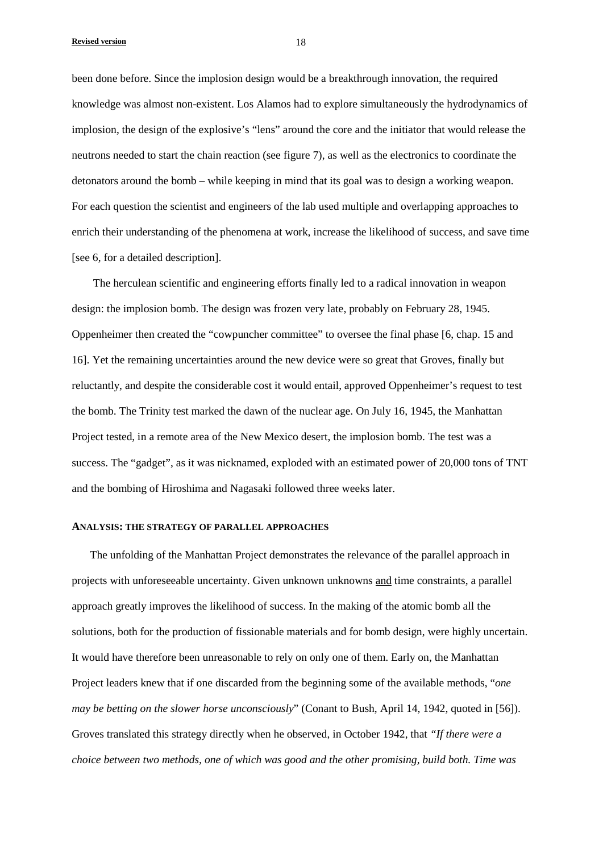been done before. Since the implosion design would be a breakthrough innovation, the required knowledge was almost non-existent. Los Alamos had to explore simultaneously the hydrodynamics of implosion, the design of the explosive's "lens" around the core and the initiator that would release the neutrons needed to start the chain reaction (see figure 7), as well as the electronics to coordinate the detonators around the bomb – while keeping in mind that its goal was to design a working weapon. For each question the scientist and engineers of the lab used multiple and overlapping approaches to enrich their understanding of the phenomena at work, increase the likelihood of success, and save time [see 6, for a detailed description].

The herculean scientific and engineering efforts finally led to a radical innovation in weapon design: the implosion bomb. The design was frozen very late, probably on February 28, 1945. Oppenheimer then created the "cowpuncher committee" to oversee the final phase [6, chap. 15 and 16]. Yet the remaining uncertainties around the new device were so great that Groves, finally but reluctantly, and despite the considerable cost it would entail, approved Oppenheimer's request to test the bomb. The Trinity test marked the dawn of the nuclear age. On July 16, 1945, the Manhattan Project tested, in a remote area of the New Mexico desert, the implosion bomb. The test was a success. The "gadget", as it was nicknamed, exploded with an estimated power of 20,000 tons of TNT and the bombing of Hiroshima and Nagasaki followed three weeks later.

#### **ANALYSIS: THE STRATEGY OF PARALLEL APPROACHES**

The unfolding of the Manhattan Project demonstrates the relevance of the parallel approach in projects with unforeseeable uncertainty. Given unknown unknowns and time constraints, a parallel approach greatly improves the likelihood of success. In the making of the atomic bomb all the solutions, both for the production of fissionable materials and for bomb design, were highly uncertain. It would have therefore been unreasonable to rely on only one of them. Early on, the Manhattan Project leaders knew that if one discarded from the beginning some of the available methods, "*one may be betting on the slower horse unconsciously*" (Conant to Bush, April 14, 1942, quoted in [56]). Groves translated this strategy directly when he observed, in October 1942, that *"If there were a choice between two methods, one of which was good and the other promising, build both. Time was*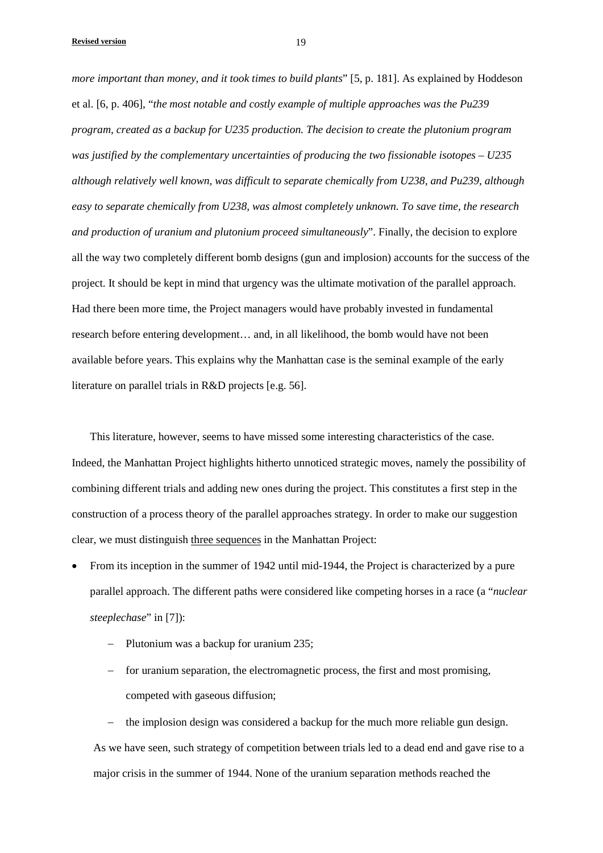*more important than money, and it took times to build plants*" [5, p. 181]. As explained by Hoddeson et al. [6, p. 406], "*the most notable and costly example of multiple approaches was the Pu239 program, created as a backup for U235 production. The decision to create the plutonium program was justified by the complementary uncertainties of producing the two fissionable isotopes – U235 although relatively well known, was difficult to separate chemically from U238, and Pu239, although easy to separate chemically from U238, was almost completely unknown. To save time, the research and production of uranium and plutonium proceed simultaneously*". Finally, the decision to explore all the way two completely different bomb designs (gun and implosion) accounts for the success of the project. It should be kept in mind that urgency was the ultimate motivation of the parallel approach. Had there been more time, the Project managers would have probably invested in fundamental research before entering development… and, in all likelihood, the bomb would have not been available before years. This explains why the Manhattan case is the seminal example of the early literature on parallel trials in R&D projects [e.g. 56].

This literature, however, seems to have missed some interesting characteristics of the case. Indeed, the Manhattan Project highlights hitherto unnoticed strategic moves, namely the possibility of combining different trials and adding new ones during the project. This constitutes a first step in the construction of a process theory of the parallel approaches strategy. In order to make our suggestion clear, we must distinguish three sequences in the Manhattan Project:

- From its inception in the summer of 1942 until mid-1944, the Project is characterized by a pure parallel approach. The different paths were considered like competing horses in a race (a "*nuclear steeplechase*" in [7]):
	- − Plutonium was a backup for uranium 235;
	- − for uranium separation, the electromagnetic process, the first and most promising, competed with gaseous diffusion;

− the implosion design was considered a backup for the much more reliable gun design.

As we have seen, such strategy of competition between trials led to a dead end and gave rise to a major crisis in the summer of 1944. None of the uranium separation methods reached the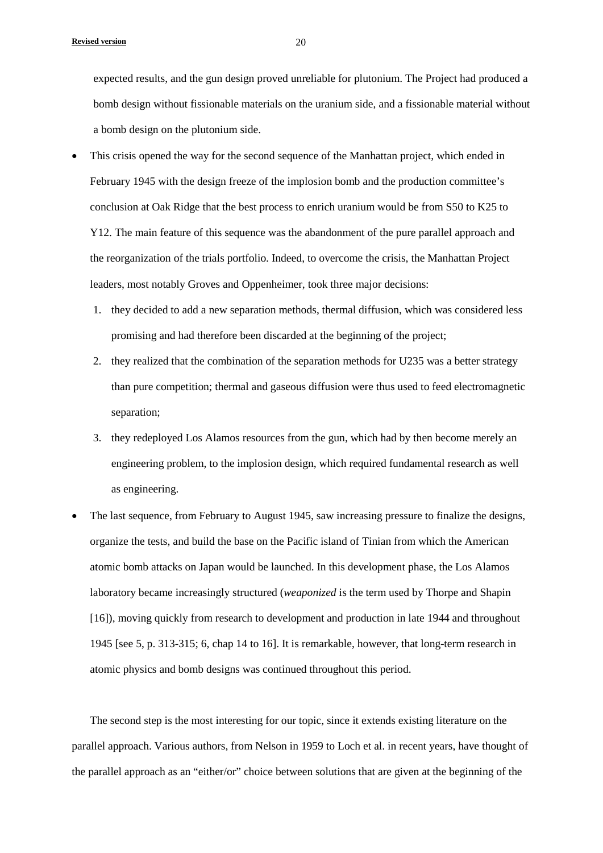expected results, and the gun design proved unreliable for plutonium. The Project had produced a bomb design without fissionable materials on the uranium side, and a fissionable material without a bomb design on the plutonium side.

- This crisis opened the way for the second sequence of the Manhattan project, which ended in February 1945 with the design freeze of the implosion bomb and the production committee's conclusion at Oak Ridge that the best process to enrich uranium would be from S50 to K25 to Y12. The main feature of this sequence was the abandonment of the pure parallel approach and the reorganization of the trials portfolio. Indeed, to overcome the crisis, the Manhattan Project leaders, most notably Groves and Oppenheimer, took three major decisions:
	- 1. they decided to add a new separation methods, thermal diffusion, which was considered less promising and had therefore been discarded at the beginning of the project;
	- 2. they realized that the combination of the separation methods for U235 was a better strategy than pure competition; thermal and gaseous diffusion were thus used to feed electromagnetic separation;
	- 3. they redeployed Los Alamos resources from the gun, which had by then become merely an engineering problem, to the implosion design, which required fundamental research as well as engineering.
- The last sequence, from February to August 1945, saw increasing pressure to finalize the designs, organize the tests, and build the base on the Pacific island of Tinian from which the American atomic bomb attacks on Japan would be launched. In this development phase, the Los Alamos laboratory became increasingly structured (*weaponized* is the term used by Thorpe and Shapin [16]), moving quickly from research to development and production in late 1944 and throughout 1945 [see 5, p. 313-315; 6, chap 14 to 16]. It is remarkable, however, that long-term research in atomic physics and bomb designs was continued throughout this period.

The second step is the most interesting for our topic, since it extends existing literature on the parallel approach. Various authors, from Nelson in 1959 to Loch et al. in recent years, have thought of the parallel approach as an "either/or" choice between solutions that are given at the beginning of the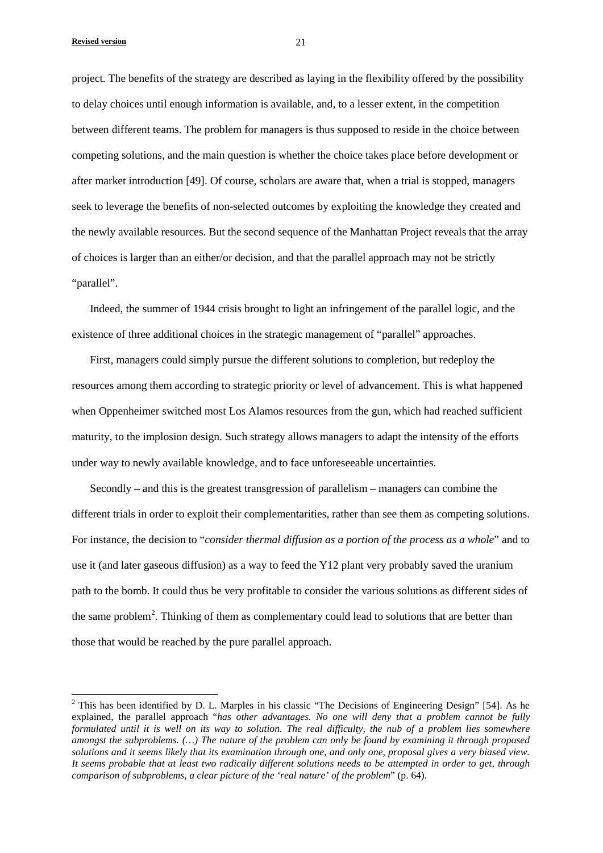project. The benefits of the strategy are described as laying in the flexibility offered by the possibility to delay choices until enough information is available, and, to a lesser extent, in the competition between different teams. The problem for managers is thus supposed to reside in the choice between competing solutions, and the main question is whether the choice takes place before development or after market introduction [49]. Of course, scholars are aware that, when a trial is stopped, managers seek to leverage the benefits of non-selected outcomes by exploiting the knowledge they created and the newly available resources. But the second sequence of the Manhattan Project reveals that the array of choices is larger than an either/or decision, and that the parallel approach may not be strictly "parallel".

Indeed, the summer of 1944 crisis brought to light an infringement of the parallel logic, and the existence of three additional choices in the strategic management of "parallel" approaches.

First, managers could simply pursue the different solutions to completion, but redeploy the resources among them according to strategic priority or level of advancement. This is what happened when Oppenheimer switched most Los Alamos resources from the gun, which had reached sufficient maturity, to the implosion design. Such strategy allows managers to adapt the intensity of the efforts under way to newly available knowledge, and to face unforeseeable uncertainties.

Secondly – and this is the greatest transgression of parallelism – managers can combine the different trials in order to exploit their complementarities, rather than see them as competing solutions. For instance, the decision to "*consider thermal diffusion as a portion of the process as a whole*" and to use it (and later gaseous diffusion) as a way to feed the Y12 plant very probably saved the uranium path to the bomb. It could thus be very profitable to consider the various solutions as different sides of the same problem<sup>[2](#page-20-0)</sup>. Thinking of them as complementary could lead to solutions that are better than those that would be reached by the pure parallel approach.

<span id="page-20-0"></span><sup>&</sup>lt;sup>2</sup> This has been identified by D. L. Marples in his classic "The Decisions of Engineering Design" [54]. As he explained, the parallel approach "*has other advantages. No one will deny that a problem cannot be fully formulated until it is well on its way to solution. The real difficulty, the nub of a problem lies somewhere amongst the subproblems. (…) The nature of the problem can only be found by examining it through proposed solutions and it seems likely that its examination through one, and only one, proposal gives a very biased view. It seems probable that at least two radically different solutions needs to be attempted in order to get, through comparison of subproblems, a clear picture of the 'real nature' of the problem*" (p. 64).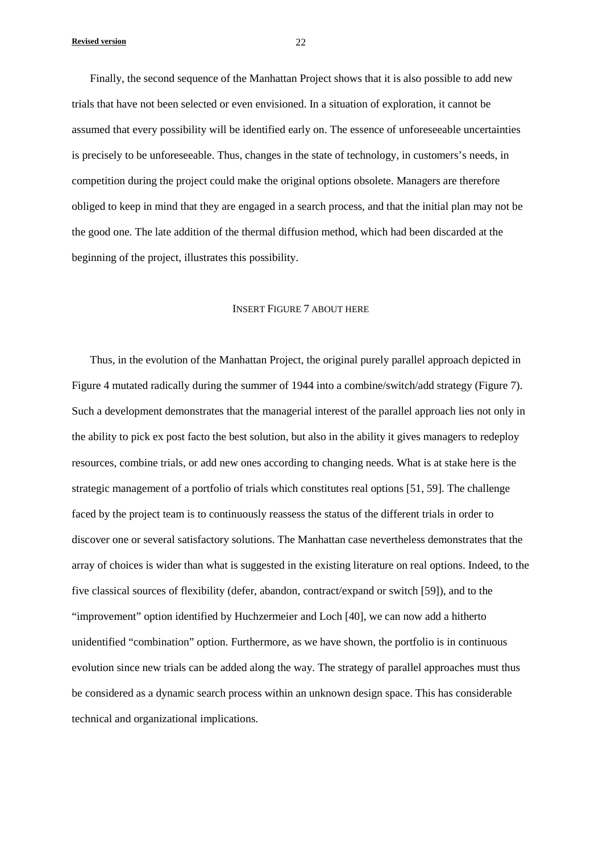Finally, the second sequence of the Manhattan Project shows that it is also possible to add new trials that have not been selected or even envisioned. In a situation of exploration, it cannot be assumed that every possibility will be identified early on. The essence of unforeseeable uncertainties is precisely to be unforeseeable. Thus, changes in the state of technology, in customers's needs, in competition during the project could make the original options obsolete. Managers are therefore obliged to keep in mind that they are engaged in a search process, and that the initial plan may not be the good one. The late addition of the thermal diffusion method, which had been discarded at the beginning of the project, illustrates this possibility.

#### INSERT FIGURE 7 ABOUT HERE

Thus, in the evolution of the Manhattan Project, the original purely parallel approach depicted in Figure 4 mutated radically during the summer of 1944 into a combine/switch/add strategy (Figure 7). Such a development demonstrates that the managerial interest of the parallel approach lies not only in the ability to pick ex post facto the best solution, but also in the ability it gives managers to redeploy resources, combine trials, or add new ones according to changing needs. What is at stake here is the strategic management of a portfolio of trials which constitutes real options [51, 59]. The challenge faced by the project team is to continuously reassess the status of the different trials in order to discover one or several satisfactory solutions. The Manhattan case nevertheless demonstrates that the array of choices is wider than what is suggested in the existing literature on real options. Indeed, to the five classical sources of flexibility (defer, abandon, contract/expand or switch [59]), and to the "improvement" option identified by Huchzermeier and Loch [40], we can now add a hitherto unidentified "combination" option. Furthermore, as we have shown, the portfolio is in continuous evolution since new trials can be added along the way. The strategy of parallel approaches must thus be considered as a dynamic search process within an unknown design space. This has considerable technical and organizational implications.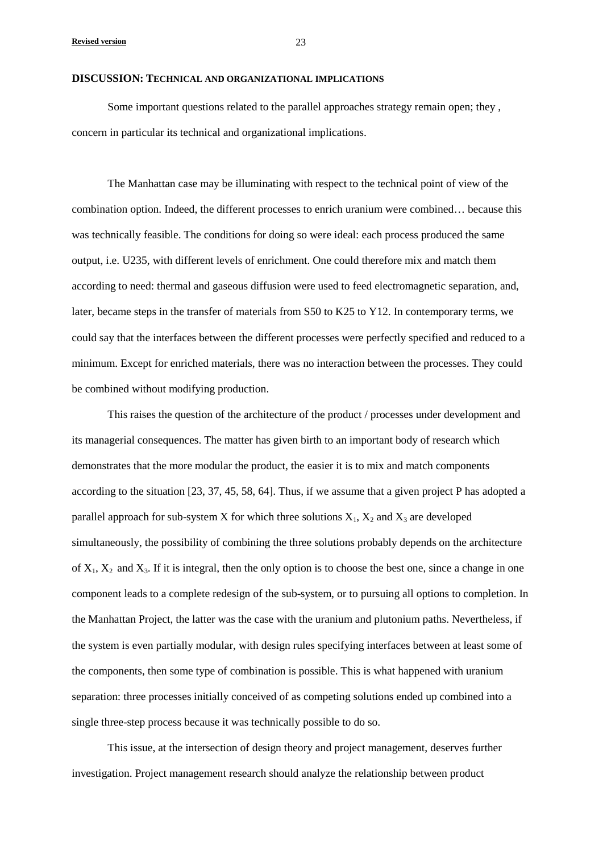#### **DISCUSSION: TECHNICAL AND ORGANIZATIONAL IMPLICATIONS**

Some important questions related to the parallel approaches strategy remain open; they , concern in particular its technical and organizational implications.

The Manhattan case may be illuminating with respect to the technical point of view of the combination option. Indeed, the different processes to enrich uranium were combined… because this was technically feasible. The conditions for doing so were ideal: each process produced the same output, i.e. U235, with different levels of enrichment. One could therefore mix and match them according to need: thermal and gaseous diffusion were used to feed electromagnetic separation, and, later, became steps in the transfer of materials from S50 to K25 to Y12. In contemporary terms, we could say that the interfaces between the different processes were perfectly specified and reduced to a minimum. Except for enriched materials, there was no interaction between the processes. They could be combined without modifying production.

This raises the question of the architecture of the product / processes under development and its managerial consequences. The matter has given birth to an important body of research which demonstrates that the more modular the product, the easier it is to mix and match components according to the situation [23, 37, 45, 58, 64]. Thus, if we assume that a given project P has adopted a parallel approach for sub-system X for which three solutions  $X_1, X_2$  and  $X_3$  are developed simultaneously, the possibility of combining the three solutions probably depends on the architecture of  $X_1, X_2$  and  $X_3$ . If it is integral, then the only option is to choose the best one, since a change in one component leads to a complete redesign of the sub-system, or to pursuing all options to completion. In the Manhattan Project, the latter was the case with the uranium and plutonium paths. Nevertheless, if the system is even partially modular, with design rules specifying interfaces between at least some of the components, then some type of combination is possible. This is what happened with uranium separation: three processes initially conceived of as competing solutions ended up combined into a single three-step process because it was technically possible to do so.

This issue, at the intersection of design theory and project management, deserves further investigation. Project management research should analyze the relationship between product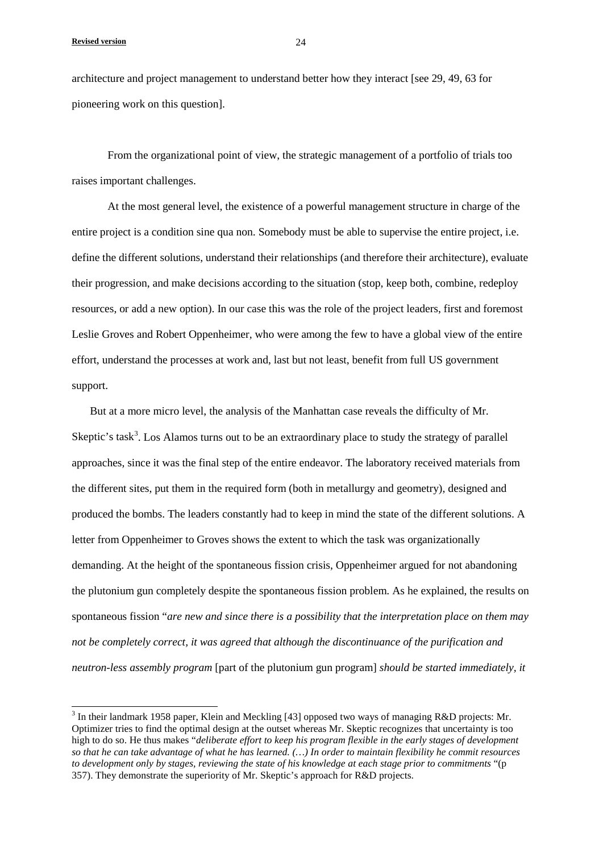architecture and project management to understand better how they interact [see 29, 49, 63 for pioneering work on this question].

From the organizational point of view, the strategic management of a portfolio of trials too raises important challenges.

At the most general level, the existence of a powerful management structure in charge of the entire project is a condition sine qua non. Somebody must be able to supervise the entire project, i.e. define the different solutions, understand their relationships (and therefore their architecture), evaluate their progression, and make decisions according to the situation (stop, keep both, combine, redeploy resources, or add a new option). In our case this was the role of the project leaders, first and foremost Leslie Groves and Robert Oppenheimer, who were among the few to have a global view of the entire effort, understand the processes at work and, last but not least, benefit from full US government support.

But at a more micro level, the analysis of the Manhattan case reveals the difficulty of Mr. Skeptic's task<sup>[3](#page-23-0)</sup>. Los Alamos turns out to be an extraordinary place to study the strategy of parallel approaches, since it was the final step of the entire endeavor. The laboratory received materials from the different sites, put them in the required form (both in metallurgy and geometry), designed and produced the bombs. The leaders constantly had to keep in mind the state of the different solutions. A letter from Oppenheimer to Groves shows the extent to which the task was organizationally demanding. At the height of the spontaneous fission crisis, Oppenheimer argued for not abandoning the plutonium gun completely despite the spontaneous fission problem. As he explained, the results on spontaneous fission "*are new and since there is a possibility that the interpretation place on them may not be completely correct, it was agreed that although the discontinuance of the purification and neutron-less assembly program* [part of the plutonium gun program] *should be started immediately, it* 

<span id="page-23-0"></span><sup>&</sup>lt;sup>3</sup> In their landmark 1958 paper, Klein and Meckling [43] opposed two ways of managing R&D projects: Mr. Optimizer tries to find the optimal design at the outset whereas Mr. Skeptic recognizes that uncertainty is too high to do so. He thus makes "*deliberate effort to keep his program flexible in the early stages of development so that he can take advantage of what he has learned. (…) In order to maintain flexibility he commit resources to development only by stages, reviewing the state of his knowledge at each stage prior to commitments* "(p 357). They demonstrate the superiority of Mr. Skeptic's approach for R&D projects.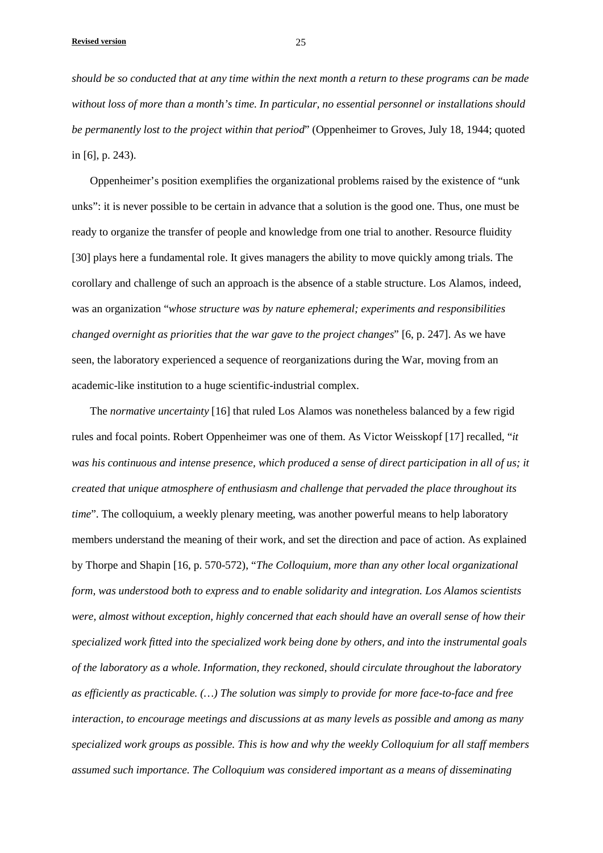*should be so conducted that at any time within the next month a return to these programs can be made without loss of more than a month's time. In particular, no essential personnel or installations should be permanently lost to the project within that period*" (Oppenheimer to Groves, July 18, 1944; quoted in [6], p. 243).

Oppenheimer's position exemplifies the organizational problems raised by the existence of "unk unks": it is never possible to be certain in advance that a solution is the good one. Thus, one must be ready to organize the transfer of people and knowledge from one trial to another. Resource fluidity [30] plays here a fundamental role. It gives managers the ability to move quickly among trials. The corollary and challenge of such an approach is the absence of a stable structure. Los Alamos, indeed, was an organization "*whose structure was by nature ephemeral; experiments and responsibilities changed overnight as priorities that the war gave to the project changes*" [6, p. 247]. As we have seen, the laboratory experienced a sequence of reorganizations during the War, moving from an academic-like institution to a huge scientific-industrial complex.

The *normative uncertainty* [16] that ruled Los Alamos was nonetheless balanced by a few rigid rules and focal points. Robert Oppenheimer was one of them. As Victor Weisskopf [17] recalled, "*it was his continuous and intense presence, which produced a sense of direct participation in all of us; it created that unique atmosphere of enthusiasm and challenge that pervaded the place throughout its time*". The colloquium, a weekly plenary meeting, was another powerful means to help laboratory members understand the meaning of their work, and set the direction and pace of action. As explained by Thorpe and Shapin [16, p. 570-572), "*The Colloquium, more than any other local organizational form, was understood both to express and to enable solidarity and integration. Los Alamos scientists were, almost without exception, highly concerned that each should have an overall sense of how their specialized work fitted into the specialized work being done by others, and into the instrumental goals of the laboratory as a whole. Information, they reckoned, should circulate throughout the laboratory as efficiently as practicable. (…) The solution was simply to provide for more face-to-face and free interaction, to encourage meetings and discussions at as many levels as possible and among as many specialized work groups as possible. This is how and why the weekly Colloquium for all staff members assumed such importance. The Colloquium was considered important as a means of disseminating*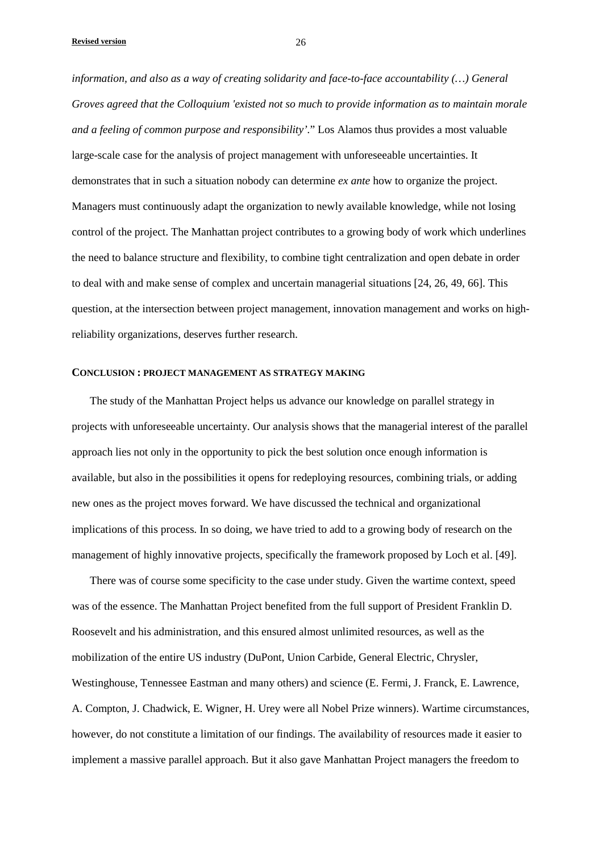*information, and also as a way of creating solidarity and face-to-face accountability (…) General Groves agreed that the Colloquium 'existed not so much to provide information as to maintain morale and a feeling of common purpose and responsibility'.*" Los Alamos thus provides a most valuable large-scale case for the analysis of project management with unforeseeable uncertainties. It demonstrates that in such a situation nobody can determine *ex ante* how to organize the project. Managers must continuously adapt the organization to newly available knowledge, while not losing control of the project. The Manhattan project contributes to a growing body of work which underlines the need to balance structure and flexibility, to combine tight centralization and open debate in order to deal with and make sense of complex and uncertain managerial situations [24, 26, 49, 66]. This question, at the intersection between project management, innovation management and works on highreliability organizations, deserves further research.

#### **CONCLUSION : PROJECT MANAGEMENT AS STRATEGY MAKING**

The study of the Manhattan Project helps us advance our knowledge on parallel strategy in projects with unforeseeable uncertainty. Our analysis shows that the managerial interest of the parallel approach lies not only in the opportunity to pick the best solution once enough information is available, but also in the possibilities it opens for redeploying resources, combining trials, or adding new ones as the project moves forward. We have discussed the technical and organizational implications of this process. In so doing, we have tried to add to a growing body of research on the management of highly innovative projects, specifically the framework proposed by Loch et al. [49].

There was of course some specificity to the case under study. Given the wartime context, speed was of the essence. The Manhattan Project benefited from the full support of President Franklin D. Roosevelt and his administration, and this ensured almost unlimited resources, as well as the mobilization of the entire US industry (DuPont, Union Carbide, General Electric, Chrysler, Westinghouse, Tennessee Eastman and many others) and science (E. Fermi, J. Franck, E. Lawrence, A. Compton, J. Chadwick, E. Wigner, H. Urey were all Nobel Prize winners). Wartime circumstances, however, do not constitute a limitation of our findings. The availability of resources made it easier to implement a massive parallel approach. But it also gave Manhattan Project managers the freedom to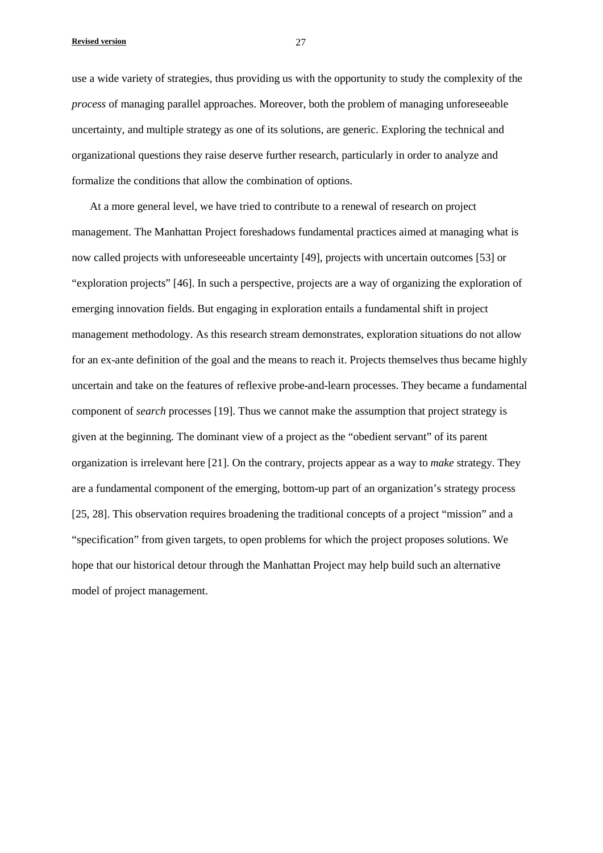use a wide variety of strategies, thus providing us with the opportunity to study the complexity of the *process* of managing parallel approaches. Moreover, both the problem of managing unforeseeable uncertainty, and multiple strategy as one of its solutions, are generic. Exploring the technical and organizational questions they raise deserve further research, particularly in order to analyze and formalize the conditions that allow the combination of options.

At a more general level, we have tried to contribute to a renewal of research on project management. The Manhattan Project foreshadows fundamental practices aimed at managing what is now called projects with unforeseeable uncertainty [49], projects with uncertain outcomes [53] or "exploration projects" [46]. In such a perspective, projects are a way of organizing the exploration of emerging innovation fields. But engaging in exploration entails a fundamental shift in project management methodology. As this research stream demonstrates, exploration situations do not allow for an ex-ante definition of the goal and the means to reach it. Projects themselves thus became highly uncertain and take on the features of reflexive probe-and-learn processes. They became a fundamental component of *search* processes [19]. Thus we cannot make the assumption that project strategy is given at the beginning. The dominant view of a project as the "obedient servant" of its parent organization is irrelevant here [21]. On the contrary, projects appear as a way to *make* strategy. They are a fundamental component of the emerging, bottom-up part of an organization's strategy process [25, 28]. This observation requires broadening the traditional concepts of a project "mission" and a "specification" from given targets, to open problems for which the project proposes solutions. We hope that our historical detour through the Manhattan Project may help build such an alternative model of project management.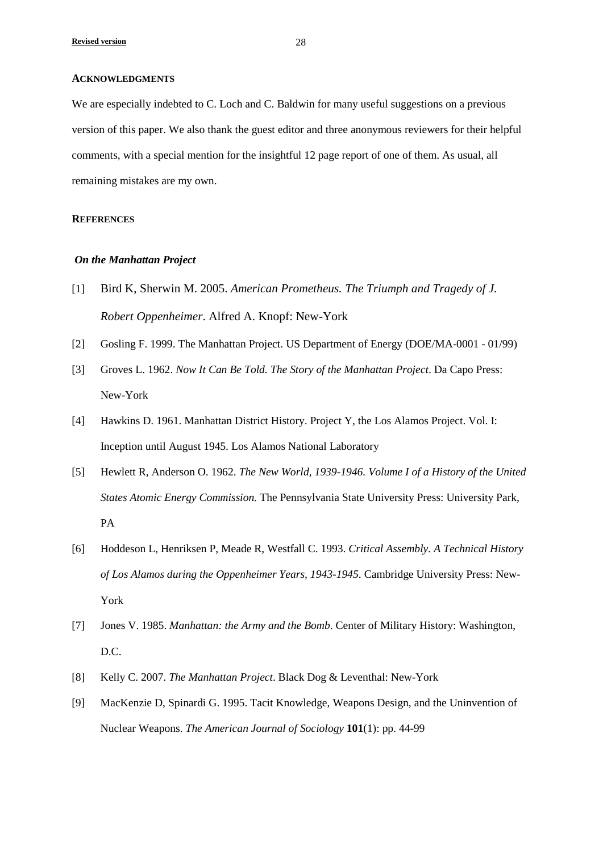#### **ACKNOWLEDGMENTS**

We are especially indebted to C. Loch and C. Baldwin for many useful suggestions on a previous version of this paper. We also thank the guest editor and three anonymous reviewers for their helpful comments, with a special mention for the insightful 12 page report of one of them. As usual, all remaining mistakes are my own.

#### **REFERENCES**

## *On the Manhattan Project*

- [1] Bird K, Sherwin M. 2005. *American Prometheus. The Triumph and Tragedy of J. Robert Oppenheimer*. Alfred A. Knopf: New-York
- [2] Gosling F. 1999. The Manhattan Project. US Department of Energy (DOE/MA-0001 01/99)
- [3] Groves L. 1962. *Now It Can Be Told. The Story of the Manhattan Project*. Da Capo Press: New-York
- [4] Hawkins D. 1961. Manhattan District History. Project Y, the Los Alamos Project. Vol. I: Inception until August 1945. Los Alamos National Laboratory
- [5] Hewlett R, Anderson O. 1962. *The New World, 1939-1946. Volume I of a History of the United States Atomic Energy Commission.* The Pennsylvania State University Press: University Park, PA
- [6] Hoddeson L, Henriksen P, Meade R, Westfall C. 1993. *Critical Assembly. A Technical History of Los Alamos during the Oppenheimer Years, 1943-1945*. Cambridge University Press: New-York
- [7] Jones V. 1985. *Manhattan: the Army and the Bomb*. Center of Military History: Washington, D.C.
- [8] Kelly C. 2007. *The Manhattan Project*. Black Dog & Leventhal: New-York
- [9] MacKenzie D, Spinardi G. 1995. Tacit Knowledge, Weapons Design, and the Uninvention of Nuclear Weapons. *The American Journal of Sociology* **101**(1): pp. 44-99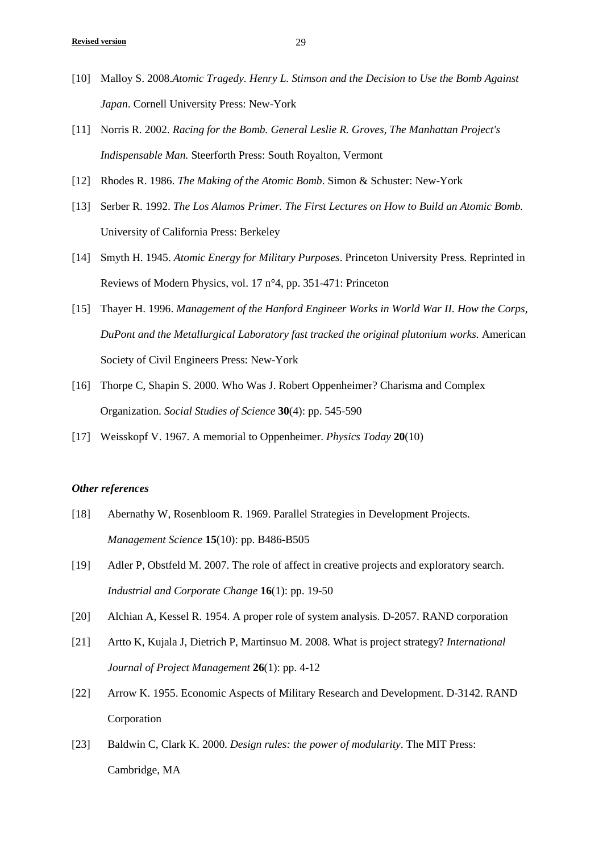- [10] Malloy S. 2008.*Atomic Tragedy. Henry L. Stimson and the Decision to Use the Bomb Against Japan*. Cornell University Press: New-York
- [11] Norris R. 2002. *Racing for the Bomb. General Leslie R. Groves, The Manhattan Project's Indispensable Man.* Steerforth Press: South Royalton, Vermont
- [12] Rhodes R. 1986. *The Making of the Atomic Bomb*. Simon & Schuster: New-York
- [13] Serber R. 1992. *The Los Alamos Primer. The First Lectures on How to Build an Atomic Bomb.* University of California Press: Berkeley
- [14] Smyth H. 1945. *Atomic Energy for Military Purposes*. Princeton University Press. Reprinted in Reviews of Modern Physics, vol. 17 n°4, pp. 351-471: Princeton
- [15] Thayer H. 1996. *Management of the Hanford Engineer Works in World War II. How the Corps, DuPont and the Metallurgical Laboratory fast tracked the original plutonium works.* American Society of Civil Engineers Press: New-York
- [16] Thorpe C, Shapin S. 2000. Who Was J. Robert Oppenheimer? Charisma and Complex Organization. *Social Studies of Science* **30**(4): pp. 545-590
- [17] Weisskopf V. 1967. A memorial to Oppenheimer. *Physics Today* **20**(10)

#### *Other references*

- [18] Abernathy W, Rosenbloom R. 1969. Parallel Strategies in Development Projects. *Management Science* **15**(10): pp. B486-B505
- [19] Adler P, Obstfeld M. 2007. The role of affect in creative projects and exploratory search. *Industrial and Corporate Change* **16**(1): pp. 19-50
- [20] Alchian A, Kessel R. 1954. A proper role of system analysis. D-2057. RAND corporation
- [21] Artto K, Kujala J, Dietrich P, Martinsuo M. 2008. What is project strategy? *International Journal of Project Management* **26**(1): pp. 4-12
- [22] Arrow K. 1955. Economic Aspects of Military Research and Development. D-3142. RAND Corporation
- [23] Baldwin C, Clark K. 2000. *Design rules: the power of modularity*. The MIT Press: Cambridge, MA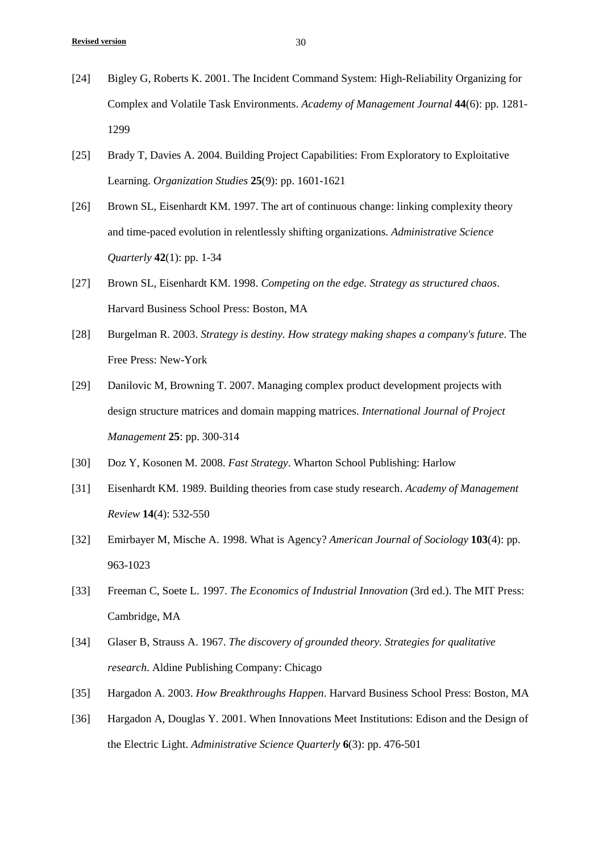- [24] Bigley G, Roberts K. 2001. The Incident Command System: High-Reliability Organizing for Complex and Volatile Task Environments. *Academy of Management Journal* **44**(6): pp. 1281- 1299
- [25] Brady T, Davies A. 2004. Building Project Capabilities: From Exploratory to Exploitative Learning. *Organization Studies* **25**(9): pp. 1601-1621
- [26] Brown SL, Eisenhardt KM. 1997. The art of continuous change: linking complexity theory and time-paced evolution in relentlessly shifting organizations. *Administrative Science Quarterly* **42**(1): pp. 1-34
- [27] Brown SL, Eisenhardt KM. 1998. *Competing on the edge. Strategy as structured chaos*. Harvard Business School Press: Boston, MA
- [28] Burgelman R. 2003. *Strategy is destiny. How strategy making shapes a company's future*. The Free Press: New-York
- [29] Danilovic M, Browning T. 2007. Managing complex product development projects with design structure matrices and domain mapping matrices. *International Journal of Project Management* **25**: pp. 300-314
- [30] Doz Y, Kosonen M. 2008. *Fast Strategy*. Wharton School Publishing: Harlow
- [31] Eisenhardt KM. 1989. Building theories from case study research. *Academy of Management Review* **14**(4): 532-550
- [32] Emirbayer M, Mische A. 1998. What is Agency? *American Journal of Sociology* **103**(4): pp. 963-1023
- [33] Freeman C, Soete L. 1997. *The Economics of Industrial Innovation* (3rd ed.). The MIT Press: Cambridge, MA
- [34] Glaser B, Strauss A. 1967. *The discovery of grounded theory. Strategies for qualitative research*. Aldine Publishing Company: Chicago
- [35] Hargadon A. 2003. *How Breakthroughs Happen*. Harvard Business School Press: Boston, MA
- [36] Hargadon A, Douglas Y. 2001. When Innovations Meet Institutions: Edison and the Design of the Electric Light. *Administrative Science Quarterly* **6**(3): pp. 476-501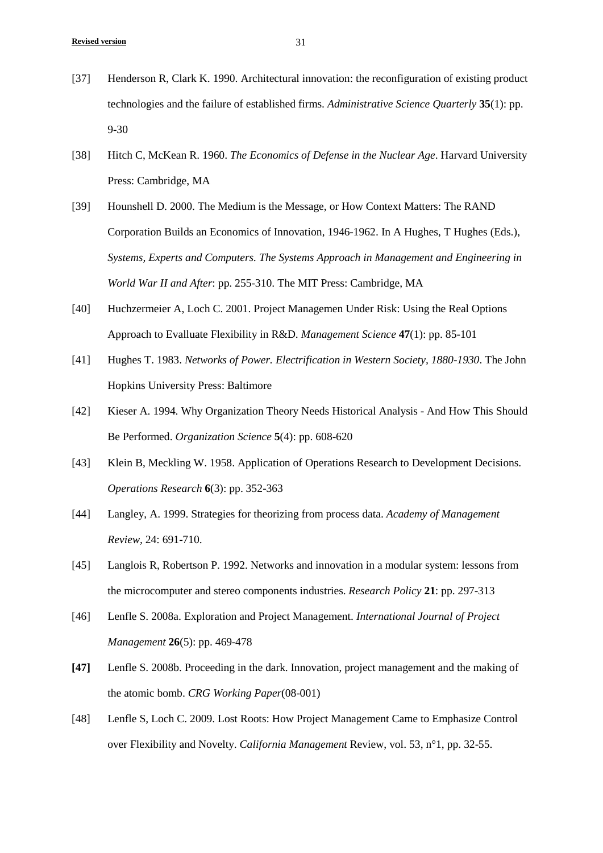- [37] Henderson R, Clark K. 1990. Architectural innovation: the reconfiguration of existing product technologies and the failure of established firms. *Administrative Science Quarterly* **35**(1): pp. 9-30
- [38] Hitch C, McKean R. 1960. *The Economics of Defense in the Nuclear Age*. Harvard University Press: Cambridge, MA
- [39] Hounshell D. 2000. The Medium is the Message, or How Context Matters: The RAND Corporation Builds an Economics of Innovation, 1946-1962. In A Hughes, T Hughes (Eds.), *Systems, Experts and Computers. The Systems Approach in Management and Engineering in World War II and After*: pp. 255-310. The MIT Press: Cambridge, MA
- [40] Huchzermeier A, Loch C. 2001. Project Managemen Under Risk: Using the Real Options Approach to Evalluate Flexibility in R&D. *Management Science* **47**(1): pp. 85-101
- [41] Hughes T. 1983. *Networks of Power. Electrification in Western Society, 1880-1930*. The John Hopkins University Press: Baltimore
- [42] Kieser A. 1994. Why Organization Theory Needs Historical Analysis And How This Should Be Performed. *Organization Science* **5**(4): pp. 608-620
- [43] Klein B, Meckling W. 1958. Application of Operations Research to Development Decisions. *Operations Research* **6**(3): pp. 352-363
- [44] Langley, A. 1999. Strategies for theorizing from process data. *Academy of Management Review,* 24: 691-710.
- [45] Langlois R, Robertson P. 1992. Networks and innovation in a modular system: lessons from the microcomputer and stereo components industries. *Research Policy* **21**: pp. 297-313
- [46] Lenfle S. 2008a. Exploration and Project Management. *International Journal of Project Management* **26**(5): pp. 469-478
- **[47]** Lenfle S. 2008b. Proceeding in the dark. Innovation, project management and the making of the atomic bomb. *CRG Working Paper*(08-001)
- [48] Lenfle S, Loch C. 2009. Lost Roots: How Project Management Came to Emphasize Control over Flexibility and Novelty. *California Management* Review, vol. 53, n°1, pp. 32-55.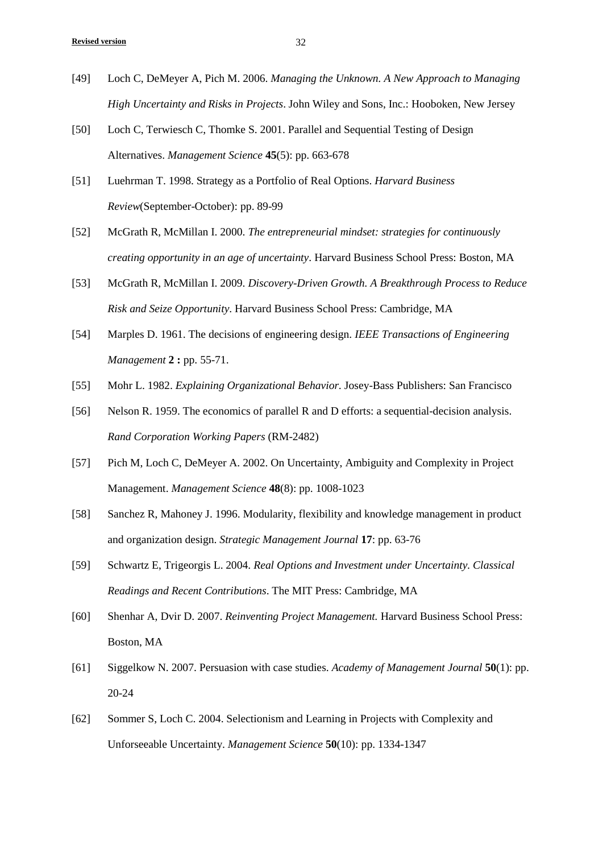- [49] Loch C, DeMeyer A, Pich M. 2006. *Managing the Unknown. A New Approach to Managing High Uncertainty and Risks in Projects*. John Wiley and Sons, Inc.: Hooboken, New Jersey
- [50] Loch C, Terwiesch C, Thomke S. 2001. Parallel and Sequential Testing of Design Alternatives. *Management Science* **45**(5): pp. 663-678
- [51] Luehrman T. 1998. Strategy as a Portfolio of Real Options. *Harvard Business Review*(September-October): pp. 89-99
- [52] McGrath R, McMillan I. 2000. *The entrepreneurial mindset: strategies for continuously creating opportunity in an age of uncertainty*. Harvard Business School Press: Boston, MA
- [53] McGrath R, McMillan I. 2009. *Discovery-Driven Growth. A Breakthrough Process to Reduce Risk and Seize Opportunity*. Harvard Business School Press: Cambridge, MA
- [54] Marples D. 1961. The decisions of engineering design. *IEEE Transactions of Engineering Management* **2 :** pp. 55-71.
- [55] Mohr L. 1982. *Explaining Organizational Behavior.* Josey-Bass Publishers: San Francisco
- [56] Nelson R. 1959. The economics of parallel R and D efforts: a sequential-decision analysis. *Rand Corporation Working Papers* (RM-2482)
- [57] Pich M, Loch C, DeMeyer A. 2002. On Uncertainty, Ambiguity and Complexity in Project Management. *Management Science* **48**(8): pp. 1008-1023
- [58] Sanchez R, Mahoney J. 1996. Modularity, flexibility and knowledge management in product and organization design. *Strategic Management Journal* **17**: pp. 63-76
- [59] Schwartz E, Trigeorgis L. 2004. *Real Options and Investment under Uncertainty. Classical Readings and Recent Contributions*. The MIT Press: Cambridge, MA
- [60] Shenhar A, Dvir D. 2007. *Reinventing Project Management.* Harvard Business School Press: Boston, MA
- [61] Siggelkow N. 2007. Persuasion with case studies. *Academy of Management Journal* **50**(1): pp. 20-24
- [62] Sommer S, Loch C. 2004. Selectionism and Learning in Projects with Complexity and Unforseeable Uncertainty. *Management Science* **50**(10): pp. 1334-1347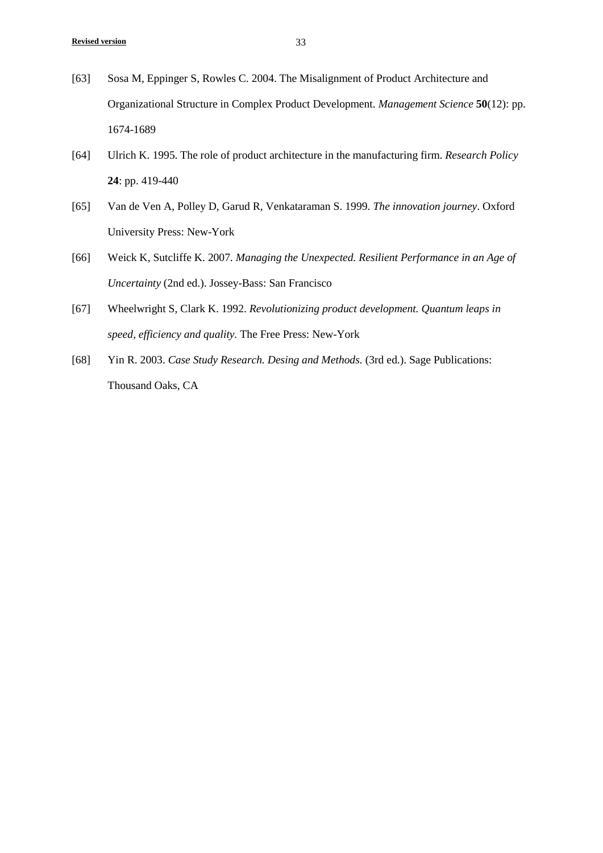- [63] Sosa M, Eppinger S, Rowles C. 2004. The Misalignment of Product Architecture and Organizational Structure in Complex Product Development. *Management Science* **50**(12): pp. 1674-1689
- [64] Ulrich K. 1995. The role of product architecture in the manufacturing firm. *Research Policy* **24**: pp. 419-440
- [65] Van de Ven A, Polley D, Garud R, Venkataraman S. 1999. *The innovation journey*. Oxford University Press: New-York
- [66] Weick K, Sutcliffe K. 2007. *Managing the Unexpected. Resilient Performance in an Age of Uncertainty* (2nd ed.). Jossey-Bass: San Francisco
- [67] Wheelwright S, Clark K. 1992. *Revolutionizing product development. Quantum leaps in speed, efficiency and quality.* The Free Press: New-York
- [68] Yin R. 2003. *Case Study Research. Desing and Methods.* (3rd ed.). Sage Publications: Thousand Oaks, CA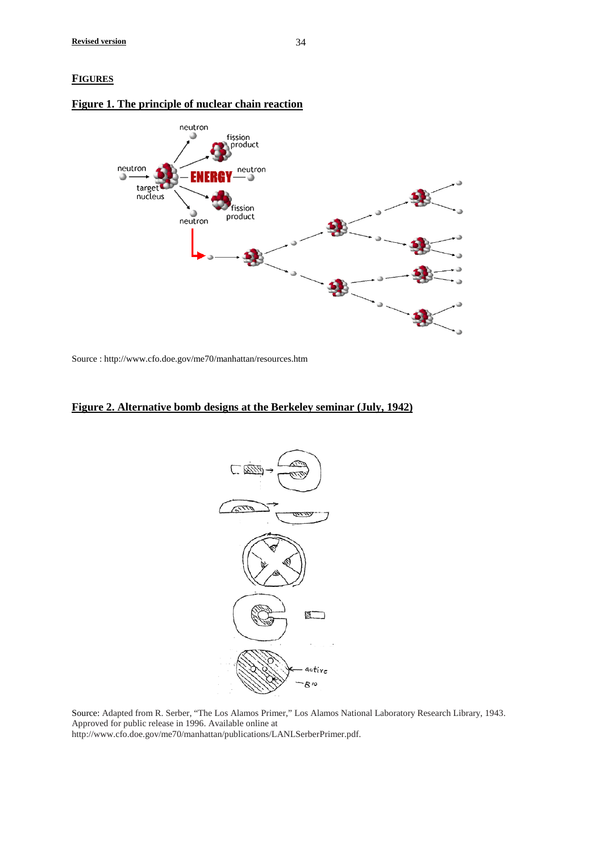# **Figure 1. The principle of nuclear chain reaction**



Source : http://www.cfo.doe.gov/me70/manhattan/resources.htm

# **Figure 2. Alternative bomb designs at the Berkeley seminar (July, 1942)**



Source: Adapted from R. Serber, "The Los Alamos Primer," Los Alamos National Laboratory Research Library, 1943. Approved for public release in 1996. Available online at http://www.cfo.doe.gov/me70/manhattan/publications/LANLSerberPrimer.pdf.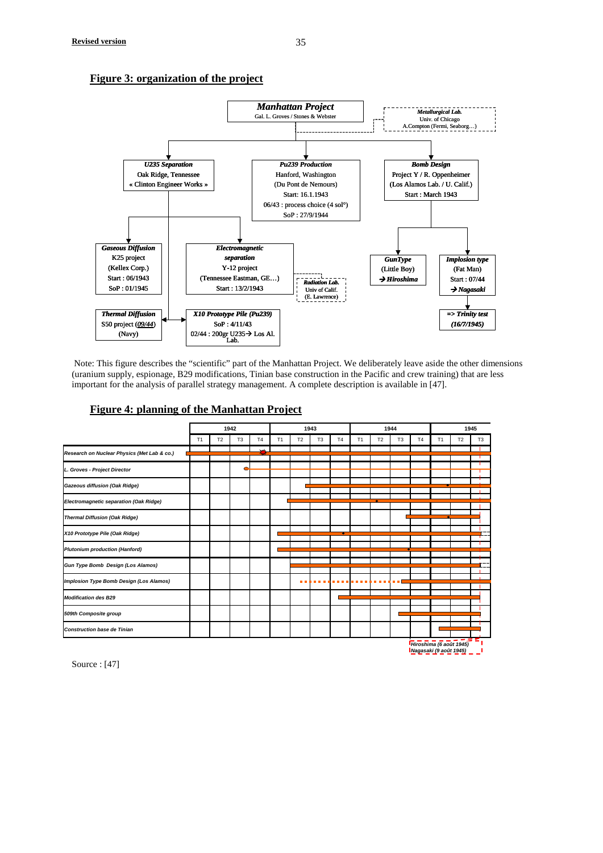## **Figure 3: organization of the project**



Note: This figure describes the "scientific" part of the Manhattan Project. We deliberately leave aside the other dimensions (uranium supply, espionage, B29 modifications, Tinian base construction in the Pacific and crew training) that are less important for the analysis of parallel strategy management. A complete description is available in [47].

#### **Figure 4: planning of the Manhattan Project**

|                                             |                              | 1942<br>T <sub>2</sub><br>T <sub>3</sub><br>T <sub>4</sub><br>T <sub>1</sub><br><b>Sold</b> |  |  |    |                | 1943           |                | 1944           |                |                |                | 1945           |                |                |
|---------------------------------------------|------------------------------|---------------------------------------------------------------------------------------------|--|--|----|----------------|----------------|----------------|----------------|----------------|----------------|----------------|----------------|----------------|----------------|
|                                             |                              |                                                                                             |  |  | T1 | T <sub>2</sub> | T <sub>3</sub> | T <sub>4</sub> | T <sub>1</sub> | T <sub>2</sub> | T <sub>3</sub> | T <sub>4</sub> | T <sub>1</sub> | T <sub>2</sub> | T <sub>3</sub> |
| Research on Nuclear Physics (Met Lab & co.) |                              |                                                                                             |  |  |    |                |                |                |                |                |                |                |                |                |                |
| L. Groves - Project Director                |                              |                                                                                             |  |  |    |                |                |                |                |                |                |                |                |                |                |
| <b>Gazeous diffusion (Oak Ridge)</b>        |                              |                                                                                             |  |  |    |                |                |                |                |                |                |                |                |                |                |
| Electromagnetic separation (Oak Ridge)      |                              |                                                                                             |  |  |    |                |                |                |                | ۰              |                |                |                |                |                |
| <b>Thermal Diffusion (Oak Ridge)</b>        |                              |                                                                                             |  |  |    |                |                |                |                |                |                |                |                |                |                |
| X10 Prototype Pile (Oak Ridge)              |                              |                                                                                             |  |  |    |                |                | o              |                |                |                |                |                |                |                |
| <b>Plutonium production (Hanford)</b>       |                              |                                                                                             |  |  |    |                |                |                |                |                |                |                |                |                |                |
| Gun Type Bomb Design (Los Alamos)           |                              |                                                                                             |  |  |    |                |                |                |                |                |                |                |                |                |                |
| Implosion Type Bomb Design (Los Alamos)     |                              |                                                                                             |  |  |    | пn             |                |                |                |                |                |                |                |                |                |
| <b>Modification des B29</b>                 |                              |                                                                                             |  |  |    |                |                |                |                |                |                |                |                |                |                |
| 509th Composite group                       |                              |                                                                                             |  |  |    |                |                |                |                |                |                |                |                |                |                |
| <b>Construction base de Tinian</b>          |                              |                                                                                             |  |  |    |                |                |                |                |                |                |                |                |                |                |
|                                             | Hiroshima (6 août 1945)<br>- |                                                                                             |  |  |    |                |                |                |                |                |                |                |                |                |                |

*Hiroshima (6 août 1945) Nagasaki (9 août 1945)*

Source : [47]